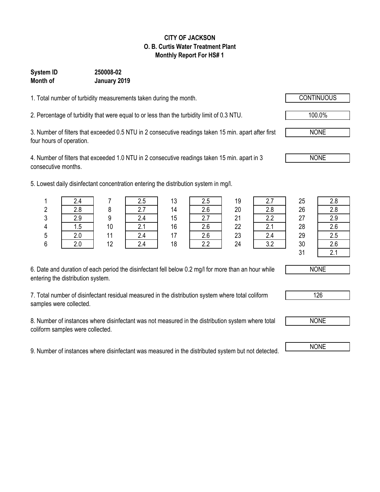#### **CITY OF JACKSON O. B. Curtis Water Treatment Plant Monthly Report For HS# 1**

### **System ID 250008-02 Month of January 2019**

1. Total number of turbidity measurements taken during the month.

2. Percentage of turbidity that were equal to or less than the turbidity limit of 0.3 NTU.

3. Number of filters that exceeded 0.5 NTU in 2 consecutive readings taken 15 min. apart after first four hours of operation.

4. Number of filters that exceeded 1.0 NTU in 2 consecutive readings taken 15 min. apart in 3 consecutive months.

5. Lowest daily disinfectant concentration entering the distribution system in mg/l.

|         |      |    |     | 13 | ں.ے    | 19 |            | 25            | 2.8           |
|---------|------|----|-----|----|--------|----|------------|---------------|---------------|
|         | 2.8  |    |     | 14 | 2.6    | 20 | n o<br>Z.O | 26            | 2.8           |
| ົ<br>ັບ | 2.9  |    |     | 15 | $\sim$ | 21 | ?          | 27            | 2.9           |
|         | ט. ו | 10 | z.i | 16 | 2.6    | 22 | z.i        | 28            | 2.6           |
| ა       | 2.0  |    |     | 17 | 2.6    | 23 | 2.4        | 29            | 2.5           |
|         |      | 12 |     | 18 | 22     | 24 |            | 30            | 2.6           |
|         |      |    |     |    |        |    |            | $\sim$ $\sim$ | $\sim$ $\sim$ |

|   | 2.7 |
|---|-----|
|   | 2.8 |
|   | 2.2 |
| 2 | 2.1 |
| 3 | 2.4 |
| 1 | 3.2 |
|   |     |

 $31 \quad \boxed{2.1}$ 

6. Date and duration of each period the disinfectant fell below 0.2 mg/l for more than an hour while entering the distribution system.

7. Total number of disinfectant residual measured in the distribution system where total coliform samples were collected.

8. Number of instances where disinfectant was not measured in the distribution system where total coliform samples were collected.

9. Number of instances where disinfectant was measured in the distributed system but not detected. NONE



NONE

126



100.0%

NONE

NONE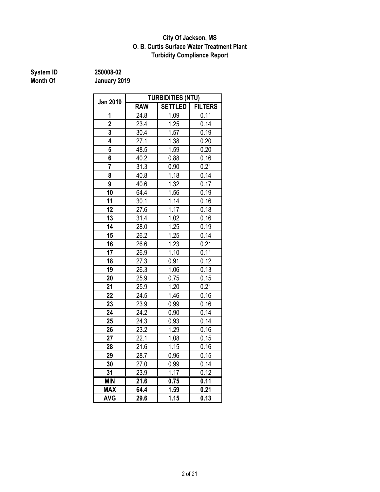#### **O. B. Curtis Surface Water Treatment Plant City Of Jackson, MS Turbidity Compliance Report**

# **System ID** 250008-02<br> **Month Of** January 20

|                 | <b>TURBIDITIES (NTU)</b> |                |                   |  |  |  |  |
|-----------------|--------------------------|----------------|-------------------|--|--|--|--|
| <b>Jan 2019</b> | <b>RAW</b>               | <b>SETTLED</b> | <b>FILTERS</b>    |  |  |  |  |
| 1               | 24.8                     | 1.09           | 0.11              |  |  |  |  |
| $\overline{2}$  | 23.4                     | 1.25           | 0.14              |  |  |  |  |
| 3               | 30.4                     | 1.57           | 0.19              |  |  |  |  |
| 4               | 27.1                     | 1.38           | $\frac{1}{0.20}$  |  |  |  |  |
| 5               | 48.5                     | 1.59           | 0.20              |  |  |  |  |
| 6               | 40.2                     | 0.88           | 0.16              |  |  |  |  |
| 7               | 31.3                     | 0.90           | 0.21              |  |  |  |  |
| 8               | 40.8                     | 1.18           | 0.14              |  |  |  |  |
| 9               | 40.6                     | 1.32           | 0.17              |  |  |  |  |
| 10              | 64.4                     | 1.56           | 0.19              |  |  |  |  |
| 11              | 30.1                     | 1.14           | 0.16              |  |  |  |  |
| 12              | 27.6                     | 1.17           | 0.18              |  |  |  |  |
| 13              | 31.4                     | 1.02           | 0.16              |  |  |  |  |
| 14              | 28.0                     | 1.25           | 0.19              |  |  |  |  |
| 15              | 26.2                     | 1.25           | 0.14              |  |  |  |  |
| 16              | 26.6                     | 1.23           | 0.21              |  |  |  |  |
| 17              | 26.9                     | 1.10           | 0.11              |  |  |  |  |
| 18              | $\overline{27.3}$        | 0.91           | 0.12              |  |  |  |  |
| 19              | 26.3                     | 1.06           | 0.13              |  |  |  |  |
| 20              | 25.9                     | 0.75           | 0.15              |  |  |  |  |
| 21              | 25.9                     | 1.20           | 0.21              |  |  |  |  |
| 22              | 24.5                     | 1.46           | 0.16              |  |  |  |  |
| 23              | $23.\overline{9}$        | 0.99           | 0.16              |  |  |  |  |
| 24              | $\overline{24.2}$        | 0.90           | $0.\overline{14}$ |  |  |  |  |
| 25              | 24.3                     | 0.93           | 0.14              |  |  |  |  |
| 26              | 23.2                     | 1.29           | 0.16              |  |  |  |  |
| 27              | 22.1                     | 1.08           | 0.15              |  |  |  |  |
| 28              | 21.6                     | 1.15           | 0.16              |  |  |  |  |
| 29              | 28.7                     | 0.96           | 0.15              |  |  |  |  |
| 30              | 27.0                     | 0.99           | 0.14              |  |  |  |  |
| 31              | 23.9                     | 1.17           | 0.12              |  |  |  |  |
| <b>MIN</b>      | 21.6                     | 0.75           | 0.11              |  |  |  |  |
| <b>MAX</b>      | 64.4                     | 1.59           | 0.21              |  |  |  |  |
| <b>AVG</b>      | 29.6                     | 1.15           | 0.13              |  |  |  |  |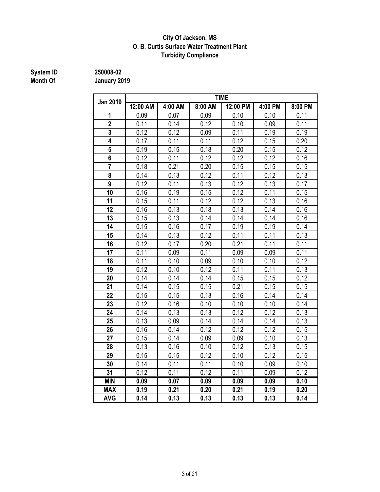#### **City Of Jackson, MS O. B. Curtis Surface Water Treatment Plant Turbidity Compliance**

# **System ID** 250008-02<br> **Month Of** January 20

|                 | <b>TIME</b> |         |         |          |         |         |  |  |  |  |
|-----------------|-------------|---------|---------|----------|---------|---------|--|--|--|--|
| <b>Jan 2019</b> | 12:00 AM    | 4:00 AM | 8:00 AM | 12:00 PM | 4:00 PM | 8:00 PM |  |  |  |  |
| 1               | 0.09        | 0.07    | 0.09    | 0.10     | 0.10    | 0.11    |  |  |  |  |
| $\overline{2}$  | 0.11        | 0.14    | 0.12    | 0.10     | 0.09    | 0.11    |  |  |  |  |
| 3               | 0.12        | 0.12    | 0.09    | 0.11     | 0.19    | 0.19    |  |  |  |  |
| 4               | 0.17        | 0.11    | 0.11    | 0.12     | 0.15    | 0.20    |  |  |  |  |
| 5               | 0.19        | 0.15    | 0.18    | 0.20     | 0.15    | 0.12    |  |  |  |  |
| 6               | 0.12        | 0.11    | 0.12    | 0.12     | 0.12    | 0.16    |  |  |  |  |
| $\overline{7}$  | 0.18        | 0.21    | 0.20    | 0.15     | 0.15    | 0.15    |  |  |  |  |
| 8               | 0.14        | 0.13    | 0.12    | 0.11     | 0.12    | 0.13    |  |  |  |  |
| $\overline{9}$  | 0.12        | 0.11    | 0.13    | 0.12     | 0.13    | 0.17    |  |  |  |  |
| 10              | 0.16        | 0.19    | 0.15    | 0.12     | 0.11    | 0.15    |  |  |  |  |
| 11              | 0.15        | 0.11    | 0.12    | 0.12     | 0.13    | 0.16    |  |  |  |  |
| 12              | 0.16        | 0.13    | 0.18    | 0.13     | 0.14    | 0.16    |  |  |  |  |
| 13              | 0.15        | 0.13    | 0.14    | 0.14     | 0.14    | 0.16    |  |  |  |  |
| 14              | 0.15        | 0.16    | 0.17    | 0.19     | 0.19    | 0.14    |  |  |  |  |
| 15              | 0.14        | 0.13    | 0.12    | 0.11     | 0.11    | 0.13    |  |  |  |  |
| 16              | 0.12        | 0.17    | 0.20    | 0.21     | 0.11    | 0.11    |  |  |  |  |
| 17              | 0.11        | 0.09    | 0.11    | 0.09     | 0.09    | 0.11    |  |  |  |  |
| 18              | 0.11        | 0.10    | 0.09    | 0.10     | 0.10    | 0.12    |  |  |  |  |
| 19              | 0.12        | 0.10    | 0.12    | 0.11     | 0.11    | 0.13    |  |  |  |  |
| 20              | 0.14        | 0.14    | 0.14    | 0.15     | 0.15    | 0.12    |  |  |  |  |
| 21              | 0.14        | 0.15    | 0.15    | 0.21     | 0.15    | 0.15    |  |  |  |  |
| 22              | 0.15        | 0.15    | 0.13    | 0.16     | 0.14    | 0.14    |  |  |  |  |
| 23              | 0.12        | 0.16    | 0.10    | 0.10     | 0.10    | 0.14    |  |  |  |  |
| 24              | 0.14        | 0.13    | 0.13    | 0.12     | 0.12    | 0.13    |  |  |  |  |
| 25              | 0.13        | 0.09    | 0.14    | 0.14     | 0.14    | 0.13    |  |  |  |  |
| 26              | 0.16        | 0.14    | 0.12    | 0.12     | 0.12    | 0.15    |  |  |  |  |
| 27              | 0.15        | 0.14    | 0.09    | 0.09     | 0.10    | 0.13    |  |  |  |  |
| 28              | 0.13        | 0.16    | 0.10    | 0.12     | 0.13    | 0.15    |  |  |  |  |
| 29              | 0.15        | 0.15    | 0.12    | 0.10     | 0.12    | 0.15    |  |  |  |  |
| 30              | 0.14        | 0.11    | 0.11    | 0.10     | 0.09    | 0.10    |  |  |  |  |
| 31              | 0.12        | 0.11    | 0.12    | 0.11     | 0.09    | 0.12    |  |  |  |  |
| <b>MIN</b>      | 0.09        | 0.07    | 0.09    | 0.09     | 0.09    | 0.10    |  |  |  |  |
| <b>MAX</b>      | 0.19        | 0.21    | 0.20    | 0.21     | 0.19    | 0.20    |  |  |  |  |
| <b>AVG</b>      | 0.14        | 0.13    | 0.13    | 0.13     | 0.13    | 0.14    |  |  |  |  |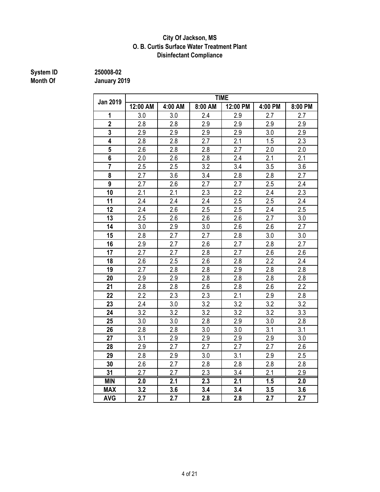#### **Disinfectant Compliance City Of Jackson, MS O. B. Curtis Surface Water Treatment Plant**

# **System ID** 250008-02<br> **Month Of** January 20

| <b>Jan 2019</b>  | <b>TIME</b> |         |                  |                  |                  |         |  |  |  |  |
|------------------|-------------|---------|------------------|------------------|------------------|---------|--|--|--|--|
|                  | 12:00 AM    | 4:00 AM | 8:00 AM          | 12:00 PM         | 4:00 PM          | 8:00 PM |  |  |  |  |
| 1                | 3.0         | 3.0     | 2.4              | 2.9              | 2.7              | 2.7     |  |  |  |  |
| $\overline{2}$   | 2.8         | 2.8     | 2.9              | 2.9              | 2.9              | 2.9     |  |  |  |  |
| 3                | 2.9         | $2.9\,$ | 2.9              | 2.9              | 3.0              | 2.9     |  |  |  |  |
| 4                | 2.8         | 2.8     | 2.7              | 2.1              | 1.5              | 2.3     |  |  |  |  |
| 5                | 2.6         | 2.8     | 2.8              | 2.7              | 2.0              | 2.0     |  |  |  |  |
| 6                | 2.0         | 2.6     | 2.8              | 2.4              | 2.1              | 2.1     |  |  |  |  |
| $\overline{7}$   | 2.5         | 2.5     | 3.2              | 3.4              | 3.5              | 3.6     |  |  |  |  |
| 8                | 2.7         | 3.6     | 3.4              | 2.8              | 2.8              | 2.7     |  |  |  |  |
| $\boldsymbol{9}$ | 2.7         | 2.6     | 2.7              | 2.7              | 2.5              | 2.4     |  |  |  |  |
| 10               | 2.1         | 2.1     | 2.3              | 2.2              | 2.4              | 2.3     |  |  |  |  |
| 11               | 2.4         | 2.4     | 2.4              | 2.5              | 2.5              | 2.4     |  |  |  |  |
| 12               | 2.4         | 2.6     | 2.5              | 2.5              | 2.4              | 2.5     |  |  |  |  |
| 13               | 2.5         | 2.6     | 2.6              | 2.6              | 2.7              | 3.0     |  |  |  |  |
| 14               | 3.0         | 2.9     | 3.0              | 2.6              | 2.6              | 2.7     |  |  |  |  |
| 15               | 2.8         | 2.7     | 2.7              | 2.8              | 3.0              | 3.0     |  |  |  |  |
| 16               | 2.9         | 2.7     | 2.6              | 2.7              | 2.8              | 2.7     |  |  |  |  |
| 17               | 2.7         | 2.7     | 2.8              | 2.7              | 2.6              | 2.6     |  |  |  |  |
| 18               | 2.6         | 2.5     | 2.6              | 2.8              | $\overline{2.2}$ | 2.4     |  |  |  |  |
| 19               | 2.7         | 2.8     | 2.8              | 2.9              | 2.8              | 2.8     |  |  |  |  |
| 20               | 2.9         | 2.9     | 2.8              | 2.8              | 2.8              | 2.8     |  |  |  |  |
| 21               | 2.8         | 2.8     | 2.6              | 2.8              | 2.6              | 2.2     |  |  |  |  |
| 22               | 2.2         | 2.3     | 2.3              | 2.1              | 2.9              | 2.8     |  |  |  |  |
| 23               | 2.4         | 3.0     | 3.2              | 3.2              | 3.2              | 3.2     |  |  |  |  |
| 24               | 3.2         | 3.2     | 3.2              | 3.2              | 3.2              | 3.3     |  |  |  |  |
| 25               | 3.0         | 3.0     | 2.8              | 2.9              | 3.0              | 2.8     |  |  |  |  |
| 26               | 2.8         | 2.8     | 3.0              | 3.0              | 3.1              | 3.1     |  |  |  |  |
| 27               | 3.1         | 2.9     | 2.9              | 2.9              | 2.9              | 3.0     |  |  |  |  |
| 28               | 2.9         | 2.7     | 2.7              | 2.7              | 2.7              | 2.6     |  |  |  |  |
| 29               | 2.8         | 2.9     | 3.0              | 3.1              | 2.9              | 2.5     |  |  |  |  |
| 30               | 2.6         | 2.7     | 2.8              | 2.8              | 2.8              | 2.8     |  |  |  |  |
| 31               | 2.7         | 2.7     | 2.3              | 3.4              | 2.1              | 2.9     |  |  |  |  |
| <b>MIN</b>       | 2.0         | 2.1     | $\overline{2.3}$ | $\overline{2.1}$ | 1.5              | 2.0     |  |  |  |  |
| <b>MAX</b>       | 3.2         | 3.6     | 3.4              | 3.4              | 3.5              | 3.6     |  |  |  |  |
| <b>AVG</b>       | 2.7         | 2.7     | 2.8              | 2.8              | 2.7              | 2.7     |  |  |  |  |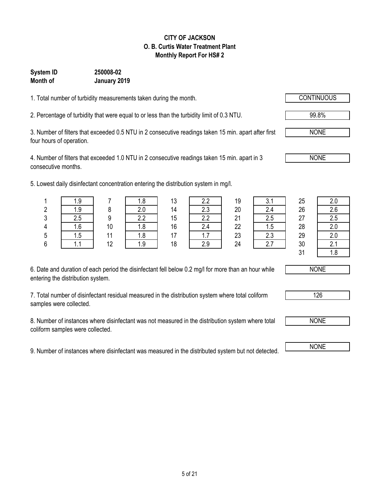#### **CITY OF JACKSON O. B. Curtis Water Treatment Plant Monthly Report For HS# 2**

### **Month of January 2019 System ID 250008-02**

1. Total number of turbidity measurements taken during the month.

2. Percentage of turbidity that were equal to or less than the turbidity limit of 0.3 NTU.

3. Number of filters that exceeded 0.5 NTU in 2 consecutive readings taken 15 min. apart after first four hours of operation.

4. Number of filters that exceeded 1.0 NTU in 2 consecutive readings taken 15 min. apart in 3 consecutive months.

5. Lowest daily disinfectant concentration entering the distribution system in mg/l.

| 6. Date and duration of each period the disinfectant fell below 0.2 mg/l for more than an hour while |  |
|------------------------------------------------------------------------------------------------------|--|
| entering the distribution system.                                                                    |  |

7. Total number of disinfectant residual measured in the distribution system where total coliform samples were collected.

8. Number of instances where disinfectant was not measured in the distribution system where total coliform samples were collected.

9. Number of instances where disinfectant was measured in the distributed system but not detected.

|        | 1.9           |                 |        | 12<br>ט ו | $\Omega$  | 19 | $\sim$<br>v. I | 25 | 2.0           |
|--------|---------------|-----------------|--------|-----------|-----------|----|----------------|----|---------------|
| ŋ<br>۷ | 1.9           |                 | ን በ    | 14        | າາ<br>ے ۔ | 20 |                | 26 | 2.6           |
| 3      |               |                 | $\sim$ | 15        | n n       | 21 |                | 27 | 2.5           |
| 4      | $\sim$<br>1.O | 10 <sup>°</sup> | 0. ا   | 16        | C         | 22 | ں.ו            | 28 | 2.0           |
| 5      | 1.5           |                 | ı.o    |           | 1.1       | 23 | $\cap$<br>ں.ے  | 29 | 2.0           |
| 6      |               | 12              |        | 18        | 2.9       | 24 |                | 30 | $\sim$<br>۷.I |
|        |               |                 |        |           |           |    |                | 24 |               |

31  $\sqrt{ }$  1.8

NONE

126



NONE



NONE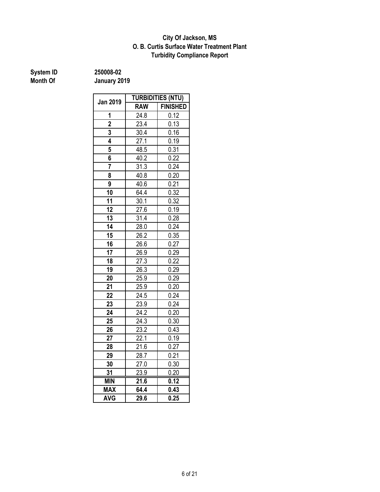#### **Turbidity Compliance Report O. B. Curtis Surface Water Treatment Plant City Of Jackson, MS**

**System ID** 250008-02<br> **Month Of** January 20

| Jan 2019       | <b>TURBIDITIES (NTU)</b> |                 |  |  |  |
|----------------|--------------------------|-----------------|--|--|--|
|                | <b>RAW</b>               | <b>FINISHED</b> |  |  |  |
| 1              | 24.8                     | 0.12            |  |  |  |
| $\overline{2}$ | 23.4                     | 0.13            |  |  |  |
| 3              | 30.4                     | 0.16            |  |  |  |
| 4              | 27.1                     | 0.19            |  |  |  |
| 5              | 48.5                     | 0.31            |  |  |  |
| 6              | 40.2                     | 0.22            |  |  |  |
| 7              | 31.3                     | 0.24            |  |  |  |
| 8              | 40.8                     | 0.20            |  |  |  |
| 9              | 40.6                     | 0.21            |  |  |  |
| 10             | 64.4                     | 0.32            |  |  |  |
| 11             | 30.1                     | 0.32            |  |  |  |
| 12             | 27.6                     | 0.19            |  |  |  |
| 13             | 31.4                     | 0.28            |  |  |  |
| 14             | $\overline{28.0}$        | 0.24            |  |  |  |
| 15             | 26.2                     | 0.35            |  |  |  |
| 16             | 26.6                     | 0.27            |  |  |  |
| 17             | 26.9                     | 0.29            |  |  |  |
| 18             | 27.3                     | 0.22            |  |  |  |
| 19             | 26.3                     | 0.29            |  |  |  |
| 20             | 25.9                     | 0.29            |  |  |  |
| 21             | 25.9                     | 0.20            |  |  |  |
| 22             | 24.5                     | 0.24            |  |  |  |
| 23             | 23.9                     | 0.24            |  |  |  |
| 24             | 24.2                     | 0.20            |  |  |  |
| 25             | 24.3                     | 0.30            |  |  |  |
| 26             | 23.2                     | 0.43            |  |  |  |
| 27             | 22.1                     | 0.19            |  |  |  |
| 28             | 21.6                     | 0.27            |  |  |  |
| 29             | 28.7                     | 0.21            |  |  |  |
| 30             | 27.0                     | 0.30            |  |  |  |
| 31             | 23.9                     | 0.20            |  |  |  |
| <b>MIN</b>     | $\overline{21.6}$        | 0.12            |  |  |  |
| <b>MAX</b>     | 64.4                     | 0.43            |  |  |  |
| <b>AVG</b>     | 29.6                     | 0.25            |  |  |  |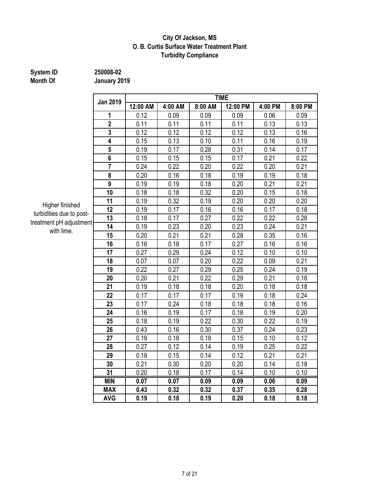#### **City Of Jackson, MS O. B. Curtis Surface Water Treatment Plant Turbidity Compliance**

## **System ID** 250008-02<br> **Month Of** January 20

**Month Of January 2019**

|                 | <b>TIME</b> |         |         |          |         |         |  |  |  |  |
|-----------------|-------------|---------|---------|----------|---------|---------|--|--|--|--|
| <b>Jan 2019</b> | 12:00 AM    | 4:00 AM | 8:00 AM | 12:00 PM | 4:00 PM | 8:00 PM |  |  |  |  |
| 1               | 0.12        | 0.09    | 0.09    | 0.09     | 0.06    | 0.09    |  |  |  |  |
| $\overline{2}$  | 0.11        | 0.11    | 0.11    | 0.11     | 0.13    | 0.13    |  |  |  |  |
| $\overline{3}$  | 0.12        | 0.12    | 0.12    | 0.12     | 0.13    | 0.16    |  |  |  |  |
| 4               | 0.15        | 0.13    | 0.10    | 0.11     | 0.16    | 0.19    |  |  |  |  |
| 5               | 0.19        | 0.17    | 0.28    | 0.31     | 0.14    | 0.17    |  |  |  |  |
| 6               | 0.15        | 0.15    | 0.15    | 0.17     | 0.21    | 0.22    |  |  |  |  |
| $\overline{7}$  | 0.24        | 0.22    | 0.20    | 0.22     | 0.20    | 0.21    |  |  |  |  |
| 8               | 0.20        | 0.16    | 0.18    | 0.19     | 0.19    | 0.18    |  |  |  |  |
| $\overline{9}$  | 0.19        | 0.19    | 0.18    | 0.20     | 0.21    | 0.21    |  |  |  |  |
| 10              | 0.18        | 0.18    | 0.32    | 0.20     | 0.15    | 0.18    |  |  |  |  |
| 11              | 0.19        | 0.32    | 0.19    | 0.20     | 0.20    | 0.20    |  |  |  |  |
| 12              | 0.19        | 0.17    | 0.16    | 0.16     | 0.17    | 0.18    |  |  |  |  |
| 13<br>۱t        | 0.18        | 0.17    | 0.27    | 0.22     | 0.22    | 0.28    |  |  |  |  |
| 14              | 0.19        | 0.23    | 0.20    | 0.23     | 0.24    | 0.21    |  |  |  |  |
| 15              | 0.20        | 0.21    | 0.21    | 0.28     | 0.35    | 0.16    |  |  |  |  |
| 16              | 0.16        | 0.18    | 0.17    | 0.27     | 0.16    | 0.16    |  |  |  |  |
| 17              | 0.27        | 0.29    | 0.24    | 0.12     | 0.10    | 0.10    |  |  |  |  |
| 18              | 0.07        | 0.07    | 0.20    | 0.22     | 0.09    | 0.21    |  |  |  |  |
| 19              | 0.22        | 0.27    | 0.29    | 0.25     | 0.24    | 0.19    |  |  |  |  |
| 20              | 0.20        | 0.21    | 0.22    | 0.29     | 0.21    | 0.18    |  |  |  |  |
| 21              | 0.19        | 0.18    | 0.18    | 0.20     | 0.18    | 0.18    |  |  |  |  |
| 22              | 0.17        | 0.17    | 0.17    | 0.19     | 0.18    | 0.24    |  |  |  |  |
| 23              | 0.17        | 0.24    | 0.18    | 0.18     | 0.18    | 0.16    |  |  |  |  |
| 24              | 0.16        | 0.19    | 0.17    | 0.18     | 0.19    | 0.20    |  |  |  |  |
| 25              | 0.18        | 0.19    | 0.22    | 0.30     | 0.22    | 0.19    |  |  |  |  |
| 26              | 0.43        | 0.16    | 0.30    | 0.37     | 0.24    | 0.23    |  |  |  |  |
| 27              | 0.19        | 0.18    | 0.18    | 0.15     | 0.10    | 0.12    |  |  |  |  |
| 28              | 0.27        | 0.12    | 0.14    | 0.19     | 0.25    | 0.22    |  |  |  |  |
| 29              | 0.18        | 0.15    | 0.14    | 0.12     | 0.21    | 0.21    |  |  |  |  |
| 30              | 0.21        | 0.30    | 0.20    | 0.20     | 0.14    | 0.18    |  |  |  |  |
| 31              | 0.20        | 0.18    | 0.17    | 0.14     | 0.10    | 0.10    |  |  |  |  |
| <b>MIN</b>      | 0.07        | 0.07    | 0.09    | 0.09     | 0.06    | 0.09    |  |  |  |  |
| <b>MAX</b>      | 0.43        | 0.32    | 0.32    | 0.37     | 0.35    | 0.28    |  |  |  |  |
| <b>AVG</b>      | 0.19        | 0.18    | 0.19    | 0.20     | 0.18    | 0.18    |  |  |  |  |

Higher finished turbidities due to posttreatment pH adjustment with lime.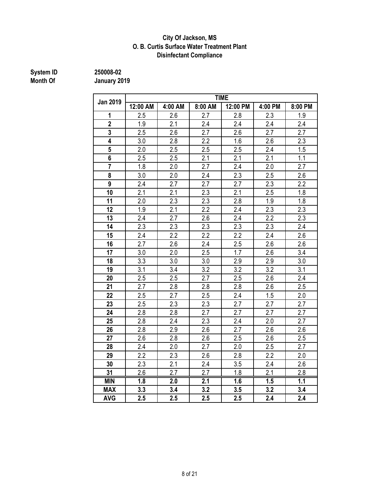#### **City Of Jackson, MS O. B. Curtis Surface Water Treatment Plant Disinfectant Compliance**

# **System ID** 250008-02<br> **Month Of** January 20

|                         | <b>TIME</b>      |                  |         |                  |                  |                  |  |  |  |  |
|-------------------------|------------------|------------------|---------|------------------|------------------|------------------|--|--|--|--|
| <b>Jan 2019</b>         | 12:00 AM         | 4:00 AM          | 8:00 AM | 12:00 PM         | 4:00 PM          | 8:00 PM          |  |  |  |  |
| 1                       | 2.5              | 2.6              | 2.7     | 2.8              | 2.3              | 1.9              |  |  |  |  |
| $\overline{2}$          | 1.9              | $\overline{2.1}$ | 2.4     | $\overline{2.4}$ | 2.4              | 2.4              |  |  |  |  |
| 3                       | 2.5              | 2.6              | 2.7     | 2.6              | 2.7              | 2.7              |  |  |  |  |
| $\overline{\mathbf{4}}$ | 3.0              | 2.8              | 2.2     | 1.6              | 2.6              | 2.3              |  |  |  |  |
| $5\overline{)}$         | 2.0              | 2.5              | 2.5     | 2.5              | 2.4              | 1.5              |  |  |  |  |
| $\overline{\mathbf{6}}$ | 2.5              | 2.5              | 2.1     | 2.1              | 2.1              | 1.1              |  |  |  |  |
| $\overline{7}$          | 1.8              | 2.0              | 2.7     | 2.4              | 2.0              | 2.7              |  |  |  |  |
| 8                       | 3.0              | $\overline{2.0}$ | 2.4     | 2.3              | 2.5              | 2.6              |  |  |  |  |
| 9                       | 2.4              | 2.7              | 2.7     | 2.7              | 2.3              | 2.2              |  |  |  |  |
| 10                      | 2.1              | 2.1              | 2.3     | 2.1              | 2.5              | 1.8              |  |  |  |  |
| 11                      | 2.0              | 2.3              | 2.3     | 2.8              | 1.9              | 1.8              |  |  |  |  |
| 12                      | 1.9              | 2.1              | 2.2     | 2.4              | 2.3              | 2.3              |  |  |  |  |
| 13                      | 2.4              | 2.7              | 2.6     | 2.4              | 2.2              | 2.3              |  |  |  |  |
| 14                      | 2.3              | 2.3              | 2.3     | 2.3              | 2.3              | 2.4              |  |  |  |  |
| 15                      | 2.4              | 2.2              | 2.2     | 2.2              | 2.4              | 2.6              |  |  |  |  |
| 16                      | 2.7              | 2.6              | 2.4     | 2.5              | 2.6              | 2.6              |  |  |  |  |
| 17                      | 3.0              | 2.0              | 2.5     | 1.7              | 2.6              | 3.4              |  |  |  |  |
| 18                      | 3.3              | 3.0              | 3.0     | 2.9              | 2.9              | 3.0              |  |  |  |  |
| 19                      | 3.1              | 3.4              | 3.2     | 3.2              | 3.2              | 3.1              |  |  |  |  |
| 20                      | 2.5              | 2.5              | 2.7     | 2.5              | 2.6              | 2.4              |  |  |  |  |
| 21                      | 2.7              | 2.8              | 2.8     | 2.8              | 2.6              | 2.5              |  |  |  |  |
| 22                      | 2.5              | 2.7              | 2.5     | 2.4              | 1.5              | 2.0              |  |  |  |  |
| 23                      | 2.5              | 2.3              | 2.3     | 2.7              | 2.7              | 2.7              |  |  |  |  |
| 24                      | 2.8              | 2.8              | 2.7     | 2.7              | 2.7              | 2.7              |  |  |  |  |
| 25                      | 2.8              | 2.4              | 2.3     | 2.4              | 2.0              | 2.7              |  |  |  |  |
| 26                      | 2.8              | 2.9              | 2.6     | 2.7              | 2.6              | 2.6              |  |  |  |  |
| 27                      | 2.6              | 2.8              | 2.6     | 2.5              | 2.6              | 2.5              |  |  |  |  |
| 28                      | 2.4              | 2.0              | 2.7     | 2.0              | 2.5              | 2.7              |  |  |  |  |
| 29                      | 2.2              | 2.3              | 2.6     | 2.8              | 2.2              | 2.0              |  |  |  |  |
| 30                      | 2.3              | 2.1              | 2.4     | 3.5              | 2.4              | 2.6              |  |  |  |  |
| 31                      | 2.6              | 2.7              | 2.7     | 1.8              | 2.1              | 2.8              |  |  |  |  |
| <b>MIN</b>              | $\overline{1.8}$ | $\overline{2.0}$ | 2.1     | 1.6              | $\overline{1.5}$ | $\overline{1.1}$ |  |  |  |  |
| <b>MAX</b>              | 3.3              | 3.4              | 3.2     | 3.5              | 3.2              | 3.4              |  |  |  |  |
| <b>AVG</b>              | 2.5              | 2.5              | 2.5     | 2.5              | 2.4              | 2.4              |  |  |  |  |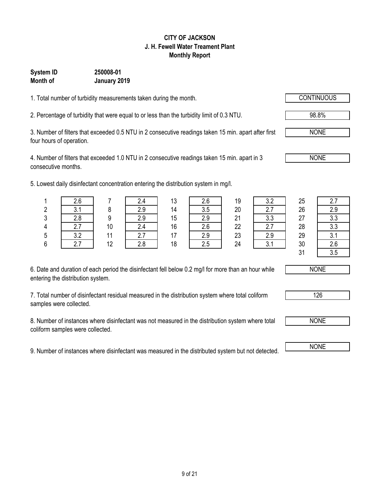### 9 of 21

#### **CITY OF JACKSON J. H. Fewell Water Treament Plant Monthly Report**

### **System ID 250008-01 Month of January 2019**

1. Total number of turbidity measurements taken during the month.

2. Percentage of turbidity that were equal to or less than the turbidity limit of 0.3 NTU. 98.8%

3. Number of filters that exceeded 0.5 NTU in 2 consecutive readings taken 15 min. apart after first four hours of operation.

4. Number of filters that exceeded 1.0 NTU in 2 consecutive readings taken 15 min. apart in 3 consecutive months.

5. Lowest daily disinfectant concentration entering the distribution system in mg/l.

| 6. Date and duration of each period the disinfectant fell below 0.2 mg/l for more than an hour while |
|------------------------------------------------------------------------------------------------------|
| entering the distribution system.                                                                    |

7. Total number of disinfectant residual measured in the distribution system where total coliform samples were collected.

8. Number of instances where disinfectant was not measured in the distribution system where total coliform samples were collected.

9. Number of instances where disinfectant was measured in the distributed system but not detected. NONE

|    | . .            |    | . . |                | . . | $\sim$   |            |    |     |
|----|----------------|----|-----|----------------|-----|----------|------------|----|-----|
|    | 2.6            |    | 2.4 | 13             |     | 19       | າ າ<br>v.L | 25 |     |
| 2  | v. I           |    | 2.9 | 14             | 3.5 | 20       | 2.7        | 26 | 2.9 |
| 3  | 2.8            | 9  | 2.9 | 15             | 2.9 | 21       | ററ<br>v.v  | 27 | 3.3 |
| 4  | 7 <sup>7</sup> | 10 | 2.4 | 16             | 2.6 | 22       | 27         | 28 | 3.3 |
| 5  | っっ<br>J.Z      |    | 2.7 | 17             | 2.9 | 23       | 2.9        | 29 | 3.1 |
| c. | 27             | 12 | 20  | 1 <sub>Q</sub> | っょ  | $\Omega$ | 21         | 20 | ን ድ |





NONE





NONE

NONE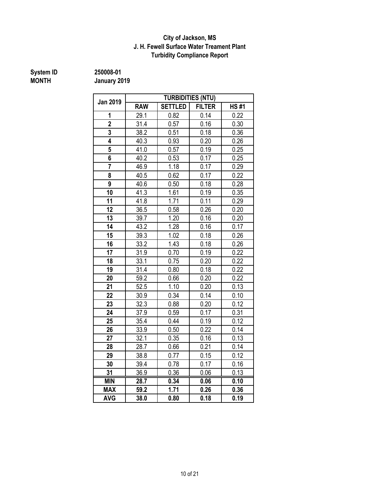#### **J. H. Fewell Surface Water Treament Plant Turbidity Compliance Report City of Jackson, MS**

# **System ID** 250008-01<br> **MONTH** January 20

**MONTH January 2019**

|                         |            |                | <b>TURBIDITIES (NTU)</b> |             |
|-------------------------|------------|----------------|--------------------------|-------------|
| Jan 2019                | <b>RAW</b> | <b>SETTLED</b> | <b>FILTER</b>            | <b>HS#1</b> |
| 1                       | 29.1       | 0.82           | 0.14                     | 0.22        |
| $\overline{2}$          | 31.4       | 0.57           | 0.16                     | 0.30        |
| $\overline{\mathbf{3}}$ | 38.2       | 0.51           | 0.18                     | 0.36        |
| 4                       | 40.3       | 0.93           | 0.20                     | 0.26        |
| 5                       | 41.0       | 0.57           | 0.19                     | 0.25        |
| 6                       | 40.2       | 0.53           | 0.17                     | 0.25        |
| $\overline{7}$          | 46.9       | 1.18           | 0.17                     | 0.29        |
| 8                       | 40.5       | 0.62           | 0.17                     | 0.22        |
| 9                       | 40.6       | 0.50           | 0.18                     | 0.28        |
| 10                      | 41.3       | 1.61           | 0.19                     | 0.35        |
| 11                      | 41.8       | 1.71           | 0.11                     | 0.29        |
| 12                      | 36.5       | 0.58           | 0.26                     | 0.20        |
| 13                      | 39.7       | 1.20           | 0.16                     | 0.20        |
| 14                      | 43.2       | 1.28           | 0.16                     | 0.17        |
| 15                      | 39.3       | 1.02           | 0.18                     | 0.26        |
| 16                      | 33.2       | 1.43           | 0.18                     | 0.26        |
| 17                      | 31.9       | 0.70           | 0.19<br>0.20             | 0.22        |
| 18                      | 33.1       | 0.75           |                          | 0.22        |
| 19                      | 31.4       | 0.80           | 0.18                     | 0.22        |
| 20                      | 59.2       | 0.66           | 0.20                     | 0.22        |
| 21                      | 52.5       | 1.10           | 0.20                     | 0.13        |
| 22                      | 30.9       | 0.34           | 0.14                     | 0.10        |
| 23                      | 32.3       | 0.88           | 0.20                     | 0.12        |
| 24                      | 37.9       | 0.59           | 0.17                     | 0.31        |
| 25                      | 35.4       | 0.44           | 0.19                     | 0.12        |
| 26                      | 33.9       | 0.50           | 0.22                     | 0.14        |
| 27                      | 32.1       | 0.35           | 0.16                     | 0.13        |
| 28                      | 28.7       | 0.66           | 0.21                     | 0.14        |
| 29                      | 38.8       | 0.77           | 0.15                     | 0.12        |
| 30                      | 39.4       | 0.78           | 0.17                     | 0.16        |
| 31                      | 36.9       | 0.36           | 0.06                     | 0.13        |
| <b>MIN</b>              | 28.7       | 0.34           | 0.06                     | 0.10        |
| <b>MAX</b>              | 59.2       | 1.71           | 0.26                     | 0.36        |
| <b>AVG</b>              | 38.0       | 0.80           | 0.18                     | 0.19        |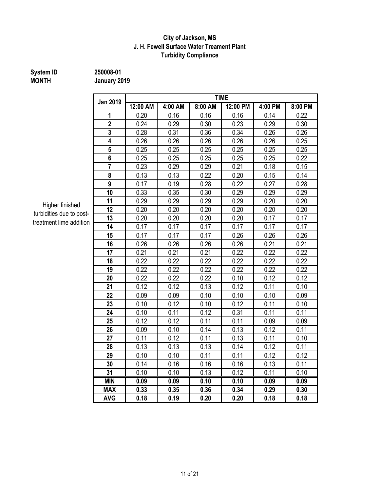#### **J. H. Fewell Surface Water Treament Plant Turbidity Compliance City of Jackson, MS**

# **MONTH January 2019**

**System ID 250008-01**

| <b>Jan 2019</b> |          | <b>TIME</b> |         |          |         |         |  |  |  |  |
|-----------------|----------|-------------|---------|----------|---------|---------|--|--|--|--|
|                 | 12:00 AM | 4:00 AM     | 8:00 AM | 12:00 PM | 4:00 PM | 8:00 PM |  |  |  |  |
| 1               | 0.20     | 0.16        | 0.16    | 0.16     | 0.14    | 0.22    |  |  |  |  |
| $\overline{2}$  | 0.24     | 0.29        | 0.30    | 0.23     | 0.29    | 0.30    |  |  |  |  |
| 3               | 0.28     | 0.31        | 0.36    | 0.34     | 0.26    | 0.26    |  |  |  |  |
| 4               | 0.26     | 0.26        | 0.26    | 0.26     | 0.26    | 0.25    |  |  |  |  |
| 5               | 0.25     | 0.25        | 0.25    | 0.25     | 0.25    | 0.25    |  |  |  |  |
| 6               | 0.25     | 0.25        | 0.25    | 0.25     | 0.25    | 0.22    |  |  |  |  |
| $\overline{7}$  | 0.23     | 0.29        | 0.29    | 0.21     | 0.18    | 0.15    |  |  |  |  |
| 8               | 0.13     | 0.13        | 0.22    | 0.20     | 0.15    | 0.14    |  |  |  |  |
| 9               | 0.17     | 0.19        | 0.28    | 0.22     | 0.27    | 0.28    |  |  |  |  |
| 10              | 0.33     | 0.35        | 0.30    | 0.29     | 0.29    | 0.29    |  |  |  |  |
| 11              | 0.29     | 0.29        | 0.29    | 0.29     | 0.20    | 0.20    |  |  |  |  |
| 12              | 0.20     | 0.20        | 0.20    | 0.20     | 0.20    | 0.20    |  |  |  |  |
| 13              | 0.20     | 0.20        | 0.20    | 0.20     | 0.17    | 0.17    |  |  |  |  |
| 14              | 0.17     | 0.17        | 0.17    | 0.17     | 0.17    | 0.17    |  |  |  |  |
| 15              | 0.17     | 0.17        | 0.17    | 0.26     | 0.26    | 0.26    |  |  |  |  |
| 16              | 0.26     | 0.26        | 0.26    | 0.26     | 0.21    | 0.21    |  |  |  |  |
| 17              | 0.21     | 0.21        | 0.21    | 0.22     | 0.22    | 0.22    |  |  |  |  |
| 18              | 0.22     | 0.22        | 0.22    | 0.22     | 0.22    | 0.22    |  |  |  |  |
| 19              | 0.22     | 0.22        | 0.22    | 0.22     | 0.22    | 0.22    |  |  |  |  |
| 20              | 0.22     | 0.22        | 0.22    | 0.10     | 0.12    | 0.12    |  |  |  |  |
| 21              | 0.12     | 0.12        | 0.13    | 0.12     | 0.11    | 0.10    |  |  |  |  |
| 22              | 0.09     | 0.09        | 0.10    | 0.10     | 0.10    | 0.09    |  |  |  |  |
| 23              | 0.10     | 0.12        | 0.10    | 0.12     | 0.11    | 0.10    |  |  |  |  |
| 24              | 0.10     | 0.11        | 0.12    | 0.31     | 0.11    | 0.11    |  |  |  |  |
| 25              | 0.12     | 0.12        | 0.11    | 0.11     | 0.09    | 0.09    |  |  |  |  |
| 26              | 0.09     | 0.10        | 0.14    | 0.13     | 0.12    | 0.11    |  |  |  |  |
| 27              | 0.11     | 0.12        | 0.11    | 0.13     | 0.11    | 0.10    |  |  |  |  |
| 28              | 0.13     | 0.13        | 0.13    | 0.14     | 0.12    | 0.11    |  |  |  |  |
| 29              | 0.10     | 0.10        | 0.11    | 0.11     | 0.12    | 0.12    |  |  |  |  |
| 30              | 0.14     | 0.16        | 0.16    | 0.16     | 0.13    | 0.11    |  |  |  |  |
| 31              | 0.10     | 0.10        | 0.13    | 0.12     | 0.11    | 0.10    |  |  |  |  |
| <b>MIN</b>      | 0.09     | 0.09        | 0.10    | 0.10     | 0.09    | 0.09    |  |  |  |  |
| <b>MAX</b>      | 0.33     | 0.35        | 0.36    | 0.34     | 0.29    | 0.30    |  |  |  |  |
| <b>AVG</b>      | 0.18     | 0.19        | 0.20    | 0.20     | 0.18    | 0.18    |  |  |  |  |

Higher finished turbidities due to posttreatment lime addition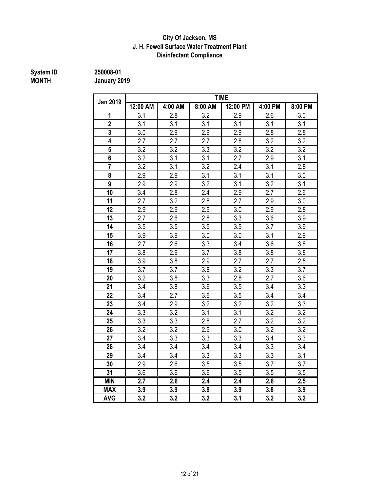#### **Disinfectant Compliance City Of Jackson, MS J. H. Fewell Surface Water Treatment Plant**

# **System ID** 250008-01<br> **MONTH** January 20

**MONTH January 2019**

|                 |          |         |         | <b>TIME</b>      |         |                  |
|-----------------|----------|---------|---------|------------------|---------|------------------|
| <b>Jan 2019</b> | 12:00 AM | 4:00 AM | 8:00 AM | 12:00 PM         | 4:00 PM | 8:00 PM          |
| 1               | 3.1      | 2.8     | 3.2     | 2.9              | 2.6     | 3.0              |
| $\overline{2}$  | 3.1      | 3.1     | 3.1     | 3.1              | 3.1     | 3.1              |
| $\overline{3}$  | 3.0      | 2.9     | 2.9     | 2.9              | 2.8     | 2.8              |
| 4               | 2.7      | 2.7     | 2.7     | 2.8              | 3.2     | 3.2              |
| 5               | 3.2      | 3.2     | 3.3     | 3.2              | 3.2     | 3.2              |
| 6               | 3.2      | 3.1     | 3.1     | 2.7              | 2.9     | 3.1              |
| $\overline{7}$  | 3.2      | 3.1     | 3.2     | 2.4              | 3.1     | 2.8              |
| 8               | 2.9      | 2.9     | 3.1     | 3.1              | 3.1     | 3.0              |
| 9               | 2.9      | 2.9     | 3.2     | 3.1              | 3.2     | 3.1              |
| 10              | 3.4      | 2.8     | 2.4     | 2.9              | 2.7     | 2.6              |
| 11              | 2.7      | 3.2     | 2.8     | 2.7              | 2.9     | 3.0              |
| 12              | 2.9      | 2.9     | 2.9     | 3.0              | 2.9     | 2.8              |
| 13              | 2.7      | 2.6     | 2.8     | 3.3              | 3.6     | 3.9              |
| 14              | 3.5      | 3.5     | 3.5     | 3.9              | 3.7     | 3.9              |
| 15              | 3.9      | 3.9     | 3.0     | 3.0              | 3.1     | 2.9              |
| 16              | 2.7      | 2.6     | 3.3     | 3.4              | 3.6     | 3.8              |
| 17              | 3.8      | 2.9     | 3.7     | 3.8              | 3.8     | 3.8              |
| 18              | 3.9      | 3.8     | 2.9     | $\overline{2.7}$ | 2.7     | 2.5              |
| 19              | 3.7      | 3.7     | 3.8     | 3.2              | 3.3     | 3.7              |
| 20              | 3.2      | 3.8     | 3.3     | 2.8              | 2.7     | 3.6              |
| 21              | 3.4      | 3.8     | 3.6     | 3.5              | 3.4     | 3.3              |
| 22              | 3.4      | 2.7     | 3.6     | 3.5              | 3.4     | 3.4              |
| 23              | 3.4      | 2.9     | 3.2     | 3.2              | 3.2     | 3.3              |
| 24              | 3.3      | 3.2     | 3.1     | 3.1              | 3.2     | $\overline{3.2}$ |
| 25              | 3.3      | 3.3     | 2.8     | 2.7              | 3.2     | 3.2              |
| 26              | 3.2      | 3.2     | 2.9     | 3.0              | 3.2     | 3.2              |
| 27              | 3.4      | 3.3     | 3.3     | 3.3              | 3.4     | 3.3              |
| 28              | 3.4      | 3.4     | 3.4     | 3.4              | 3.3     | 3.4              |
| 29              | 3.4      | 3.4     | 3.3     | 3.3              | 3.3     | 3.1              |
| 30              | 2.9      | 2.6     | 3.5     | 3.5              | 3.7     | 3.7              |
| 31              | 3.6      | 3.6     | 3.6     | 3.5              | 3.5     | 3.5              |
| <b>MIN</b>      | 2.7      | 2.6     | 2.4     | 2.4              | 2.6     | 2.5              |
| <b>MAX</b>      | 3.9      | 3.9     | 3.8     | 3.9              | 3.8     | 3.9              |
| <b>AVG</b>      | 3.2      | 3.2     | 3.2     | 3.1              | 3.2     | 3.2              |

12 of 21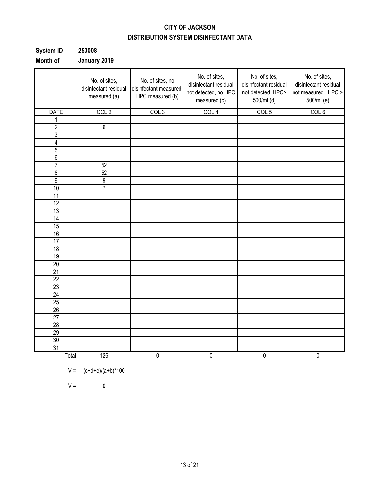### **CITY OF JACKSON DISTRIBUTION SYSTEM DISINFECTANT DATA**

| System ID | 250008       |
|-----------|--------------|
| Month of  | January 2019 |

|                 | No. of sites,<br>disinfectant residual<br>measured (a) | No. of sites, no<br>disinfectant measured,<br>HPC measured (b) | No. of sites,<br>disinfectant residual<br>not detected, no HPC<br>measured (c) | No. of sites,<br>disinfectant residual<br>not detected. HPC><br>500/ml (d) | No. of sites,<br>disinfectant residual<br>not measured. HPC ><br>500/ml (e) |
|-----------------|--------------------------------------------------------|----------------------------------------------------------------|--------------------------------------------------------------------------------|----------------------------------------------------------------------------|-----------------------------------------------------------------------------|
| <b>DATE</b>     | COL <sub>2</sub>                                       | COL <sub>3</sub>                                               | COL <sub>4</sub>                                                               | COL <sub>5</sub>                                                           | COL <sub>6</sub>                                                            |
| 1               |                                                        |                                                                |                                                                                |                                                                            |                                                                             |
| $\overline{2}$  | 6                                                      |                                                                |                                                                                |                                                                            |                                                                             |
| 3               |                                                        |                                                                |                                                                                |                                                                            |                                                                             |
| 4               |                                                        |                                                                |                                                                                |                                                                            |                                                                             |
| $\overline{5}$  |                                                        |                                                                |                                                                                |                                                                            |                                                                             |
| $\overline{6}$  |                                                        |                                                                |                                                                                |                                                                            |                                                                             |
| $\overline{7}$  | 52                                                     |                                                                |                                                                                |                                                                            |                                                                             |
| 8               | 52                                                     |                                                                |                                                                                |                                                                            |                                                                             |
| $\overline{9}$  | $\overline{9}$                                         |                                                                |                                                                                |                                                                            |                                                                             |
| 10              | $\overline{7}$                                         |                                                                |                                                                                |                                                                            |                                                                             |
| 11              |                                                        |                                                                |                                                                                |                                                                            |                                                                             |
| 12              |                                                        |                                                                |                                                                                |                                                                            |                                                                             |
| 13              |                                                        |                                                                |                                                                                |                                                                            |                                                                             |
| 14              |                                                        |                                                                |                                                                                |                                                                            |                                                                             |
| 15              |                                                        |                                                                |                                                                                |                                                                            |                                                                             |
| 16              |                                                        |                                                                |                                                                                |                                                                            |                                                                             |
| $\overline{17}$ |                                                        |                                                                |                                                                                |                                                                            |                                                                             |
| $\overline{18}$ |                                                        |                                                                |                                                                                |                                                                            |                                                                             |
| 19              |                                                        |                                                                |                                                                                |                                                                            |                                                                             |
| 20              |                                                        |                                                                |                                                                                |                                                                            |                                                                             |
| 21              |                                                        |                                                                |                                                                                |                                                                            |                                                                             |
| 22              |                                                        |                                                                |                                                                                |                                                                            |                                                                             |
| $\overline{23}$ |                                                        |                                                                |                                                                                |                                                                            |                                                                             |
| 24              |                                                        |                                                                |                                                                                |                                                                            |                                                                             |
| $\overline{25}$ |                                                        |                                                                |                                                                                |                                                                            |                                                                             |
| 26              |                                                        |                                                                |                                                                                |                                                                            |                                                                             |
| 27              |                                                        |                                                                |                                                                                |                                                                            |                                                                             |
| 28              |                                                        |                                                                |                                                                                |                                                                            |                                                                             |
| 29              |                                                        |                                                                |                                                                                |                                                                            |                                                                             |
| 30              |                                                        |                                                                |                                                                                |                                                                            |                                                                             |
| 31              |                                                        |                                                                |                                                                                |                                                                            |                                                                             |
| Total           | 126                                                    | $\overline{0}$                                                 | $\overline{0}$                                                                 | $\pmb{0}$                                                                  | $\overline{0}$                                                              |

$$
V = (c+d+e)/(a+b)^*100
$$

 $V = 0$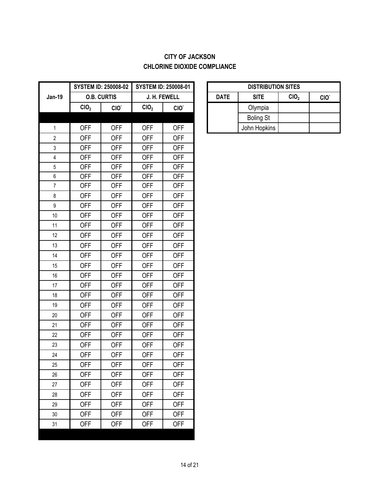### **CITY OF JACKSON CHLORINE DIOXIDE COMPLIANCE**

|                  |                  | <b>SYSTEM ID: 250008-02</b> |                  | <b>SYSTEM ID: 250008-01</b> | <b>DISTRIBUT</b> |                  |
|------------------|------------------|-----------------------------|------------------|-----------------------------|------------------|------------------|
| <b>Jan-19</b>    |                  | <b>O.B. CURTIS</b>          |                  | J. H. FEWELL                | <b>DATE</b>      | <b>SITE</b>      |
|                  | CIO <sub>2</sub> | CIO.                        | CIO <sub>2</sub> | CIO.                        |                  | Olympia          |
|                  |                  |                             |                  |                             |                  | <b>Boling St</b> |
| $\mathbf 1$      | <b>OFF</b>       | <b>OFF</b>                  | <b>OFF</b>       | <b>OFF</b>                  |                  | John Hopkins     |
| $\mathbf{2}$     | <b>OFF</b>       | <b>OFF</b>                  | <b>OFF</b>       | <b>OFF</b>                  |                  |                  |
| 3                | <b>OFF</b>       | <b>OFF</b>                  | <b>OFF</b>       | <b>OFF</b>                  |                  |                  |
| $\overline{4}$   | <b>OFF</b>       | <b>OFF</b>                  | <b>OFF</b>       | <b>OFF</b>                  |                  |                  |
| $\overline{5}$   | <b>OFF</b>       | <b>OFF</b>                  | <b>OFF</b>       | <b>OFF</b>                  |                  |                  |
| $\boldsymbol{6}$ | <b>OFF</b>       | <b>OFF</b>                  | <b>OFF</b>       | <b>OFF</b>                  |                  |                  |
| $\overline{7}$   | <b>OFF</b>       | <b>OFF</b>                  | <b>OFF</b>       | <b>OFF</b>                  |                  |                  |
| 8                | <b>OFF</b>       | <b>OFF</b>                  | <b>OFF</b>       | <b>OFF</b>                  |                  |                  |
| $\boldsymbol{9}$ | <b>OFF</b>       | <b>OFF</b>                  | <b>OFF</b>       | <b>OFF</b>                  |                  |                  |
| 10               | <b>OFF</b>       | <b>OFF</b>                  | <b>OFF</b>       | <b>OFF</b>                  |                  |                  |
| 11               | <b>OFF</b>       | <b>OFF</b>                  | <b>OFF</b>       | <b>OFF</b>                  |                  |                  |
| 12               | <b>OFF</b>       | <b>OFF</b>                  | <b>OFF</b>       | <b>OFF</b>                  |                  |                  |
| 13               | <b>OFF</b>       | <b>OFF</b>                  | <b>OFF</b>       | <b>OFF</b>                  |                  |                  |
| 14               | <b>OFF</b>       | <b>OFF</b>                  | <b>OFF</b>       | <b>OFF</b>                  |                  |                  |
| 15               | <b>OFF</b>       | <b>OFF</b>                  | <b>OFF</b>       | <b>OFF</b>                  |                  |                  |
| 16               | <b>OFF</b>       | <b>OFF</b>                  | <b>OFF</b>       | <b>OFF</b>                  |                  |                  |
| 17               | <b>OFF</b>       | <b>OFF</b>                  | <b>OFF</b>       | <b>OFF</b>                  |                  |                  |
| 18               | <b>OFF</b>       | <b>OFF</b>                  | <b>OFF</b>       | <b>OFF</b>                  |                  |                  |
| 19               | <b>OFF</b>       | <b>OFF</b>                  | <b>OFF</b>       | <b>OFF</b>                  |                  |                  |
| 20               | <b>OFF</b>       | <b>OFF</b>                  | <b>OFF</b>       | <b>OFF</b>                  |                  |                  |
| 21               | <b>OFF</b>       | <b>OFF</b>                  | <b>OFF</b>       | <b>OFF</b>                  |                  |                  |
| 22               | <b>OFF</b>       | <b>OFF</b>                  | <b>OFF</b>       | <b>OFF</b>                  |                  |                  |
| 23               | <b>OFF</b>       | <b>OFF</b>                  | <b>OFF</b>       | <b>OFF</b>                  |                  |                  |
| 24               | <b>OFF</b>       | <b>OFF</b>                  | <b>OFF</b>       | <b>OFF</b>                  |                  |                  |
| 25               | <b>OFF</b>       | <b>OFF</b>                  | <b>OFF</b>       | <b>OFF</b>                  |                  |                  |
| 26               | <b>OFF</b>       | <b>OFF</b>                  | <b>OFF</b>       | <b>OFF</b>                  |                  |                  |
| 27               | <b>OFF</b>       | <b>OFF</b>                  | <b>OFF</b>       | <b>OFF</b>                  |                  |                  |
| 28               | <b>OFF</b>       | <b>OFF</b>                  | <b>OFF</b>       | <b>OFF</b>                  |                  |                  |
| 29               | <b>OFF</b>       | <b>OFF</b>                  | <b>OFF</b>       | <b>OFF</b>                  |                  |                  |
| 30               | <b>OFF</b>       | <b>OFF</b>                  | <b>OFF</b>       | <b>OFF</b>                  |                  |                  |
| 31               | <b>OFF</b>       | <b>OFF</b>                  | <b>OFF</b>       | <b>OFF</b>                  |                  |                  |
|                  |                  |                             |                  |                             |                  |                  |

| <b>DISTRIBUTION SITES</b>                                          |                  |  |  |  |  |  |  |  |
|--------------------------------------------------------------------|------------------|--|--|--|--|--|--|--|
| CIO <sub>2</sub><br><b>SITE</b><br><b>DATE</b><br>CIO <sup>-</sup> |                  |  |  |  |  |  |  |  |
|                                                                    | Olympia          |  |  |  |  |  |  |  |
|                                                                    | <b>Boling St</b> |  |  |  |  |  |  |  |
|                                                                    | John Hopkins     |  |  |  |  |  |  |  |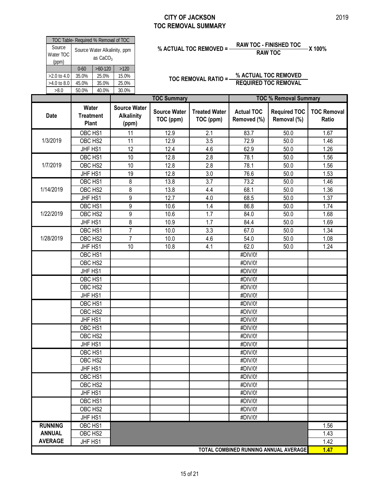#### **CITY OF JACKSON TOC REMOVAL SUMMARY**

| TOC Table- Required % Removal of TOC |                                            |                |       |  |  |  |  |  |
|--------------------------------------|--------------------------------------------|----------------|-------|--|--|--|--|--|
| Source<br>Water TOC<br>(ppm)         | Source Water Alkalinity, ppm<br>as $CaCO3$ |                |       |  |  |  |  |  |
|                                      | $0 - 60$                                   | $>60-120$      | >120  |  |  |  |  |  |
| $>2.0$ to 4.0                        | 35.0%                                      | 25.0%          | 15.0% |  |  |  |  |  |
| >4.0 to 8.0                          | 45.0%<br>35.0%<br>25.0%                    |                |       |  |  |  |  |  |
| >8.0                                 | 50.0%                                      | 30.0%<br>40.0% |       |  |  |  |  |  |
|                                      |                                            |                |       |  |  |  |  |  |

# **% ACTUAL TOC REMOVED = RAW TOC - FINISHED TOC X 100% RAW TOC**

|                | Source<br>Water TOC | TOC Table- Required % Removal of TOC      |                                   | Source Water Alkalinity, ppm                      |                                  | % ACTUAL TOC REMOVED =-           |                                  | <b>RAW TOC - FINISHED TOC</b><br><b>RAW TOC</b> | -X 100%                     |
|----------------|---------------------|-------------------------------------------|-----------------------------------|---------------------------------------------------|----------------------------------|-----------------------------------|----------------------------------|-------------------------------------------------|-----------------------------|
|                | (ppm)               | $0 - 60$                                  | as CaCO <sub>3</sub><br>$>60-120$ | $>120$                                            |                                  |                                   |                                  |                                                 |                             |
|                | >2.0 to 4.0         | 35.0%                                     | 25.0%                             | 15.0%                                             |                                  |                                   |                                  | % ACTUAL TOC REMOVED                            |                             |
|                | >4.0 to 8.0         | 45.0%                                     | 35.0%                             | 25.0%                                             |                                  | <b>TOC REMOVAL RATIO =-</b>       |                                  | <b>REQUIRED TOC REMOVAL</b>                     |                             |
|                | >8.0                | 50.0%                                     | 40.0%                             | 30.0%                                             |                                  |                                   |                                  |                                                 |                             |
|                |                     |                                           |                                   |                                                   | <b>TOC Summary</b>               |                                   |                                  | <b>TOC % Removal Summary</b>                    |                             |
| Date           |                     | Water<br><b>Treatment</b><br><b>Plant</b> |                                   | <b>Source Water</b><br><b>Alkalinity</b><br>(ppm) | <b>Source Water</b><br>TOC (ppm) | <b>Treated Water</b><br>TOC (ppm) | <b>Actual TOC</b><br>Removed (%) | <b>Required TOC</b><br>Removal (%)              | <b>TOC Removal</b><br>Ratio |
|                |                     | OBC HS1                                   |                                   | 11                                                | 12.9                             | 2.1                               | 83.7                             | 50.0                                            | 1.67                        |
| 1/3/2019       |                     | OBC HS2                                   |                                   | 11                                                | 12.9                             | 3.5                               | 72.9                             | 50.0                                            | 1.46                        |
|                |                     | JHF HS1                                   |                                   | 12                                                | 12.4                             | 4.6                               | 62.9                             | 50.0                                            | 1.26                        |
|                |                     | OBC HS1                                   |                                   | 10                                                | 12.8                             | 2.8                               | 78.1                             | 50.0                                            | 1.56                        |
| 1/7/2019       |                     | OBC HS2                                   |                                   | 10                                                | 12.8                             | 2.8                               | 78.1                             | 50.0                                            | 1.56                        |
|                |                     | JHF HS1                                   |                                   | 19                                                | 12.8                             | 3.0                               | 76.6                             | 50.0                                            | 1.53                        |
|                |                     | OBC HS1                                   |                                   | 8                                                 | 13.8                             | 3.7                               | 73.2                             | 50.0                                            | 1.46                        |
| 1/14/2019      |                     | OBC HS2                                   |                                   | 8                                                 | 13.8                             | 4.4                               | 68.1                             | 50.0                                            | 1.36                        |
|                |                     | JHF HS1                                   |                                   | 9                                                 | 12.7                             | 4.0                               | 68.5                             | 50.0                                            | 1.37                        |
|                |                     | OBC HS1                                   |                                   | 9                                                 | 10.6                             | 1.4                               | 86.8                             | 50.0                                            | 1.74                        |
| 1/22/2019      |                     | OBC HS2                                   |                                   | 9                                                 | 10.6                             | 1.7                               | 84.0                             | 50.0                                            | 1.68                        |
|                |                     | JHF HS1                                   |                                   | 8                                                 | 10.9                             | 1.7                               | 84.4                             | 50.0                                            | 1.69                        |
|                |                     | OBC HS1                                   |                                   | 7                                                 | 10.0                             | 3.3                               | 67.0                             | 50.0                                            | 1.34                        |
| 1/28/2019      |                     | OBC HS2                                   |                                   | $\overline{7}$                                    | 10.0                             | 4.6                               | 54.0                             | 50.0                                            | 1.08                        |
|                |                     | JHF HS1                                   |                                   | 10                                                | 10.8                             | 4.1                               | 62.0                             | 50.0                                            | 1.24                        |
|                |                     | OBC HS1                                   |                                   |                                                   |                                  |                                   | #DIV/0!                          |                                                 |                             |
|                |                     | OBC HS2                                   |                                   |                                                   |                                  |                                   | #DIV/0!                          |                                                 |                             |
|                |                     | JHF HS1                                   |                                   |                                                   |                                  |                                   | #DIV/0!                          |                                                 |                             |
|                |                     | OBC HS1                                   |                                   |                                                   |                                  |                                   | #DIV/0!                          |                                                 |                             |
|                |                     | OBC HS2                                   |                                   |                                                   |                                  |                                   | #DIV/0!                          |                                                 |                             |
|                |                     | JHF HS1                                   |                                   |                                                   |                                  |                                   | #DIV/0!                          |                                                 |                             |
|                |                     | OBC HS1                                   |                                   |                                                   |                                  |                                   | #DIV/0!                          |                                                 |                             |
|                |                     | OBC HS2                                   |                                   |                                                   |                                  |                                   | #DIV/0!                          |                                                 |                             |
|                |                     | JHF HS1                                   |                                   |                                                   |                                  |                                   | #DIV/0!                          |                                                 |                             |
|                |                     | OBC HS1                                   |                                   |                                                   |                                  |                                   | #DIV/0!                          |                                                 |                             |
|                |                     | OBC HS2                                   |                                   |                                                   |                                  |                                   | #DIV/0!                          |                                                 |                             |
|                |                     | JHF HS1                                   |                                   |                                                   |                                  |                                   | #DIV/0!                          |                                                 |                             |
|                |                     | OBC HS1                                   |                                   |                                                   |                                  |                                   | #DIV/0!                          |                                                 |                             |
|                |                     | OBC HS2                                   |                                   |                                                   |                                  |                                   | #DIV/0!                          |                                                 |                             |
|                |                     | JHF HS1                                   |                                   |                                                   |                                  |                                   | #DIV/0!                          |                                                 |                             |
|                |                     | OBC HS1                                   |                                   |                                                   |                                  |                                   | #DIV/0!                          |                                                 |                             |
|                |                     | OBC HS2                                   |                                   |                                                   |                                  |                                   | #DIV/0!                          |                                                 |                             |
|                |                     | JHF HS1                                   |                                   |                                                   |                                  |                                   | #DIV/0!                          |                                                 |                             |
|                |                     | OBC HS1                                   |                                   |                                                   |                                  |                                   | #DIV/0!                          |                                                 |                             |
|                |                     | OBC HS2                                   |                                   |                                                   |                                  |                                   | #DIV/0!                          |                                                 |                             |
|                |                     | JHF HS1                                   |                                   |                                                   |                                  |                                   | #DIV/0!                          |                                                 |                             |
| <b>RUNNING</b> |                     | OBC HS1                                   |                                   |                                                   |                                  |                                   |                                  |                                                 | 1.56                        |
| <b>ANNUAL</b>  |                     | OBC HS2                                   |                                   |                                                   |                                  |                                   |                                  |                                                 | 1.43                        |
| <b>AVERAGE</b> |                     | JHF HS1                                   |                                   |                                                   |                                  |                                   |                                  |                                                 | 1.42                        |
|                |                     |                                           |                                   |                                                   |                                  |                                   |                                  | TOTAL COMBINED RUNNING ANNUAL AVERAGE           | 1.47                        |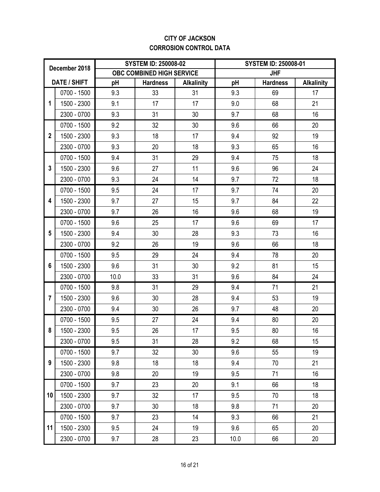### **CITY OF JACKSON CORROSION CONTROL DATA**

| December 2018  |              |      | <b>SYSTEM ID: 250008-02</b> |                   | <b>SYSTEM ID: 250008-01</b> |                 |                   |
|----------------|--------------|------|-----------------------------|-------------------|-----------------------------|-----------------|-------------------|
|                |              |      | OBC COMBINED HIGH SERVICE   |                   |                             | <b>JHF</b>      |                   |
|                | DATE / SHIFT | pH   | <b>Hardness</b>             | <b>Alkalinity</b> | pH                          | <b>Hardness</b> | <b>Alkalinity</b> |
|                | 0700 - 1500  | 9.3  | 33                          | 31                | 9.3                         | 69              | 17                |
| 1              | 1500 - 2300  | 9.1  | 17                          | 17                | 9.0                         | 68              | 21                |
|                | 2300 - 0700  | 9.3  | 31                          | 30                | 9.7                         | 68              | 16                |
|                | 0700 - 1500  | 9.2  | 32                          | 30                | 9.6                         | 66              | 20                |
| $\overline{2}$ | 1500 - 2300  | 9.3  | 18                          | 17                | 9.4                         | 92              | 19                |
|                | 2300 - 0700  | 9.3  | 20                          | 18                | 9.3                         | 65              | 16                |
|                | 0700 - 1500  | 9.4  | 31                          | 29                | 9.4                         | 75              | 18                |
| 3              | 1500 - 2300  | 9.6  | 27                          | 11                | 9.6                         | 96              | 24                |
|                | 2300 - 0700  | 9.3  | 24                          | 14                | 9.7                         | 72              | 18                |
|                | 0700 - 1500  | 9.5  | 24                          | 17                | 9.7                         | 74              | 20                |
| 4              | 1500 - 2300  | 9.7  | 27                          | 15                | 9.7                         | 84              | 22                |
|                | 2300 - 0700  | 9.7  | 26                          | 16                | 9.6                         | 68              | 19                |
|                | 0700 - 1500  | 9.6  | 25                          | 17                | 9.6                         | 69              | 17                |
| 5              | 1500 - 2300  | 9.4  | 30                          | 28                | 9.3                         | 73              | 16                |
|                | 2300 - 0700  | 9.2  | 26                          | 19                | 9.6                         | 66              | 18                |
|                | 0700 - 1500  | 9.5  | 29                          | 24                | 9.4                         | 78              | 20                |
| 6              | 1500 - 2300  | 9.6  | 31                          | 30                | 9.2                         | 81              | 15                |
|                | 2300 - 0700  | 10.0 | 33                          | 31                | 9.6                         | 84              | 24                |
|                | 0700 - 1500  | 9.8  | 31                          | 29                | 9.4                         | 71              | 21                |
| $\overline{7}$ | 1500 - 2300  | 9.6  | 30                          | 28                | 9.4                         | 53              | 19                |
|                | 2300 - 0700  | 9.4  | 30                          | 26                | 9.7                         | 48              | 20                |
|                | 0700 - 1500  | 9.5  | 27                          | 24                | 9.4                         | 80              | 20                |
| 8              | 1500 - 2300  | 9.5  | 26                          | 17                | 9.5                         | 80              | 16                |
|                | 2300 - 0700  | 9.5  | 31                          | 28                | 9.2                         | 68              | 15                |
|                | 0700 - 1500  | 9.7  | 32                          | 30                | 9.6                         | 55              | 19                |
| 9              | 1500 - 2300  | 9.8  | 18                          | 18                | 9.4                         | 70              | 21                |
|                | 2300 - 0700  | 9.8  | 20                          | 19                | 9.5                         | 71              | 16                |
|                | 0700 - 1500  | 9.7  | 23                          | 20                | 9.1                         | 66              | 18                |
| 10             | 1500 - 2300  | 9.7  | 32                          | 17                | 9.5                         | 70              | 18                |
|                | 2300 - 0700  | 9.7  | 30                          | 18                | 9.8                         | 71              | 20                |
|                | 0700 - 1500  | 9.7  | 23                          | 14                | 9.3                         | 66              | 21                |
| 11             | 1500 - 2300  | 9.5  | 24                          | 19                | 9.6                         | 65              | 20                |
|                | 2300 - 0700  | 9.7  | 28                          | 23                | 10.0                        | 66              | 20                |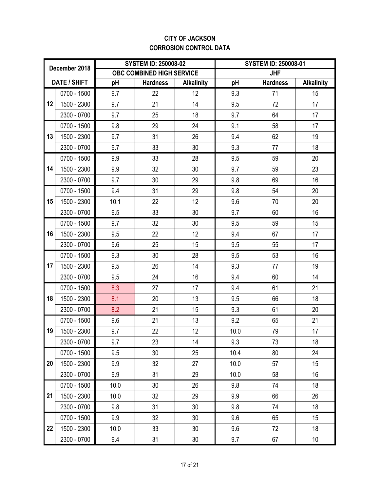### **CITY OF JACKSON CORROSION CONTROL DATA**

| December 2018 |                     |      | <b>SYSTEM ID: 250008-02</b> |                   | <b>SYSTEM ID: 250008-01</b> |                 |                   |
|---------------|---------------------|------|-----------------------------|-------------------|-----------------------------|-----------------|-------------------|
|               |                     |      | OBC COMBINED HIGH SERVICE   |                   |                             | <b>JHF</b>      |                   |
|               | <b>DATE / SHIFT</b> | pH   | <b>Hardness</b>             | <b>Alkalinity</b> | pH                          | <b>Hardness</b> | <b>Alkalinity</b> |
|               | 0700 - 1500         | 9.7  | 22                          | 12                | 9.3                         | 71              | 15                |
| 12            | 1500 - 2300         | 9.7  | 21                          | 14                | 9.5                         | 72              | 17                |
|               | 2300 - 0700         | 9.7  | 25                          | 18                | 9.7                         | 64              | 17                |
|               | 0700 - 1500         | 9.8  | 29                          | 24                | 9.1                         | 58              | 17                |
| 13            | 1500 - 2300         | 9.7  | 31                          | 26                | 9.4                         | 62              | 19                |
|               | 2300 - 0700         | 9.7  | 33                          | 30                | 9.3                         | 77              | 18                |
|               | 0700 - 1500         | 9.9  | 33                          | 28                | 9.5                         | 59              | 20                |
| 14            | 1500 - 2300         | 9.9  | 32                          | 30                | 9.7                         | 59              | 23                |
|               | 2300 - 0700         | 9.7  | 30                          | 29                | 9.8                         | 69              | 16                |
|               | 0700 - 1500         | 9.4  | 31                          | 29                | 9.8                         | 54              | 20                |
| 15            | 1500 - 2300         | 10.1 | 22                          | 12                | 9.6                         | 70              | 20                |
|               | 2300 - 0700         | 9.5  | 33                          | 30                | 9.7                         | 60              | 16                |
|               | 0700 - 1500         | 9.7  | 32                          | 30                | 9.5                         | 59              | 15                |
| 16            | 1500 - 2300         | 9.5  | 22                          | 12                | 9.4                         | 67              | 17                |
|               | 2300 - 0700         | 9.6  | 25                          | 15                | 9.5                         | 55              | 17                |
|               | 0700 - 1500         | 9.3  | 30                          | 28                | 9.5                         | 53              | 16                |
| 17            | 1500 - 2300         | 9.5  | 26                          | 14                | 9.3                         | 77              | 19                |
|               | 2300 - 0700         | 9.5  | 24                          | 16                | 9.4                         | 60              | 14                |
|               | 0700 - 1500         | 8.3  | 27                          | 17                | 9.4                         | 61              | 21                |
| 18            | 1500 - 2300         | 8.1  | 20                          | 13                | 9.5                         | 66              | 18                |
|               | 2300 - 0700         | 8.2  | 21                          | 15                | 9.3                         | 61              | 20                |
|               | 0700 - 1500         | 9.6  | 21                          | 13                | 9.2                         | 65              | 21                |
| 19            | 1500 - 2300         | 9.7  | 22                          | 12                | 10.0                        | 79              | 17                |
|               | 2300 - 0700         | 9.7  | 23                          | 14                | 9.3                         | 73              | 18                |
|               | 0700 - 1500         | 9.5  | 30                          | 25                | 10.4                        | 80              | 24                |
| 20            | 1500 - 2300         | 9.9  | 32                          | 27                | 10.0                        | 57              | 15                |
|               | 2300 - 0700         | 9.9  | 31                          | 29                | 10.0                        | 58              | 16                |
|               | 0700 - 1500         | 10.0 | 30                          | 26                | 9.8                         | 74              | 18                |
| 21            | 1500 - 2300         | 10.0 | 32                          | 29                | 9.9                         | 66              | 26                |
|               | 2300 - 0700         | 9.8  | 31                          | 30                | 9.8                         | 74              | 18                |
|               | 0700 - 1500         | 9.9  | 32                          | 30                | 9.6                         | 65              | 15                |
| 22            | 1500 - 2300         | 10.0 | 33                          | 30                | 9.6                         | 72              | 18                |
|               | 2300 - 0700         | 9.4  | 31                          | 30                | 9.7                         | 67              | 10                |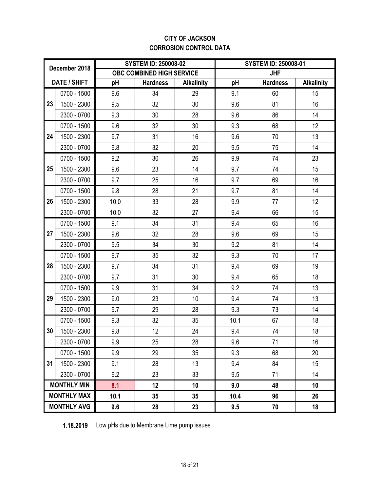### **CITY OF JACKSON CORROSION CONTROL DATA**

| December 2018 |                    |      | <b>SYSTEM ID: 250008-02</b> |                   |      | <b>SYSTEM ID: 250008-01</b> |                   |  |
|---------------|--------------------|------|-----------------------------|-------------------|------|-----------------------------|-------------------|--|
|               |                    |      | OBC COMBINED HIGH SERVICE   |                   |      | <b>JHF</b>                  |                   |  |
|               | DATE / SHIFT       | pH   | <b>Hardness</b>             | <b>Alkalinity</b> | pH   | <b>Hardness</b>             | <b>Alkalinity</b> |  |
|               | 0700 - 1500        | 9.6  | 34                          | 29                | 9.1  | 60                          | 15                |  |
| 23            | 1500 - 2300        | 9.5  | 32                          | 30                | 9.6  | 81                          | 16                |  |
|               | 2300 - 0700        | 9.3  | 30                          | 28                | 9.6  | 86                          | 14                |  |
|               | 0700 - 1500        | 9.6  | 32                          | 30                | 9.3  | 68                          | 12                |  |
| 24            | 1500 - 2300        | 9.7  | 31                          | 16                | 9.6  | 70                          | 13                |  |
|               | 2300 - 0700        | 9.8  | 32                          | 20                | 9.5  | 75                          | 14                |  |
|               | 0700 - 1500        | 9.2  | 30                          | 26                | 9.9  | 74                          | 23                |  |
| 25            | 1500 - 2300        | 9.6  | 23                          | 14                | 9.7  | 74                          | 15                |  |
|               | 2300 - 0700        | 9.7  | 25                          | 16                | 9.7  | 69                          | 16                |  |
|               | 0700 - 1500        | 9.8  | 28                          | 21                | 9.7  | 81                          | 14                |  |
| 26            | 1500 - 2300        | 10.0 | 33                          | 28                | 9.9  | 77                          | 12                |  |
|               | 2300 - 0700        | 10.0 | 32                          | 27                | 9.4  | 66                          | 15                |  |
|               | 0700 - 1500        | 9.1  | 34                          | 31                | 9.4  | 65                          | 16                |  |
| 27            | 1500 - 2300        | 9.6  | 32                          | 28                | 9.6  | 69                          | 15                |  |
|               | 2300 - 0700        | 9.5  | 34                          | 30                | 9.2  | 81                          | 14                |  |
|               | 0700 - 1500        | 9.7  | 35                          | 32                | 9.3  | 70                          | 17                |  |
| 28            | 1500 - 2300        | 9.7  | 34                          | 31                | 9.4  | 69                          | 19                |  |
|               | 2300 - 0700        | 9.7  | 31                          | 30                | 9.4  | 65                          | 18                |  |
|               | 0700 - 1500        | 9.9  | 31                          | 34                | 9.2  | 74                          | 13                |  |
| 29            | 1500 - 2300        | 9.0  | 23                          | 10                | 9.4  | 74                          | 13                |  |
|               | 2300 - 0700        | 9.7  | 29                          | 28                | 9.3  | 73                          | 14                |  |
|               | 0700 - 1500        | 9.3  | 32                          | 35                | 10.1 | 67                          | 18                |  |
| 30            | 1500 - 2300        | 9.8  | 12                          | 24                | 9.4  | 74                          | 18                |  |
|               | 2300 - 0700        | 9.9  | 25                          | 28                | 9.6  | 71                          | 16                |  |
|               | 0700 - 1500        | 9.9  | 29                          | 35                | 9.3  | 68                          | 20                |  |
| 31            | 1500 - 2300        | 9.1  | 28                          | 13                | 9.4  | 84                          | 15                |  |
|               | 2300 - 0700        | 9.2  | 23                          | 33                | 9.5  | 71                          | 14                |  |
|               | <b>MONTHLY MIN</b> | 8.1  | 12                          | 10                | 9.0  | 48                          | 10                |  |
|               | <b>MONTHLY MAX</b> | 10.1 | 35 <sub>5</sub>             | 35                | 10.4 | 96                          | 26                |  |
|               | <b>MONTHLY AVG</b> | 9.6  | 28                          | 23                | 9.5  | 70                          | 18                |  |

**1.18.2019** Low pHs due to Membrane Lime pump issues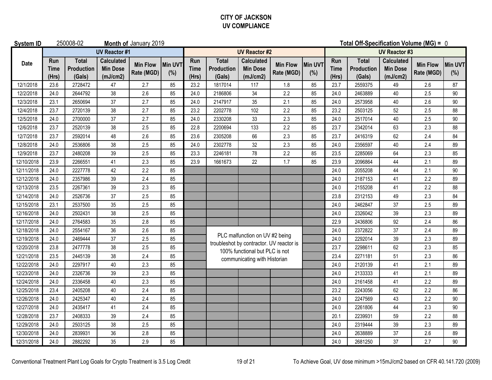#### **CITY OF JACKSON UV COMPLIANCE**

| <b>System ID</b> |                      | 250008-02                            |                                                  | Month of January 2019         |                       |                             |                                      |                                                  |                               | Total Off-Specification Volume (MG) = 0 |                             |                                             |                                                  |                               |                |  |  |
|------------------|----------------------|--------------------------------------|--------------------------------------------------|-------------------------------|-----------------------|-----------------------------|--------------------------------------|--------------------------------------------------|-------------------------------|-----------------------------------------|-----------------------------|---------------------------------------------|--------------------------------------------------|-------------------------------|----------------|--|--|
|                  |                      |                                      | <b>UV Reactor #1</b>                             |                               |                       | <b>UV Reactor #2</b>        |                                      |                                                  |                               |                                         |                             | <b>UV Reactor #3</b>                        |                                                  |                               |                |  |  |
| <b>Date</b>      | Run<br>Time<br>(Hrs) | <b>Total</b><br>Production<br>(Gals) | <b>Calculated</b><br><b>Min Dose</b><br>(mJ/cm2) | <b>Min Flow</b><br>Rate (MGD) | <b>Min UVT</b><br>(%) | Run<br><b>Time</b><br>(Hrs) | <b>Total</b><br>Production<br>(Gals) | <b>Calculated</b><br><b>Min Dose</b><br>(mJ/cm2) | <b>Min Flow</b><br>Rate (MGD) | Min UVT<br>(%)                          | Run<br><b>Time</b><br>(Hrs) | <b>Total</b><br><b>Production</b><br>(Gals) | <b>Calculated</b><br><b>Min Dose</b><br>(mJ/cm2) | <b>Min Flow</b><br>Rate (MGD) | Min UVT<br>(%) |  |  |
| 12/1/2018        | 23.6                 | 2728472                              | 47                                               | 2.7                           | 85                    | 23.2                        | 1817014                              | 117                                              | 1.8                           | 85                                      | 23.7                        | 2559375                                     | 49                                               | 2.6                           | 87             |  |  |
| 12/2/2018        | 24.0                 | 2644792                              | 38                                               | 2.6                           | 85                    | 24.0                        | 2186806                              | 34                                               | 2.2                           | 85                                      | 24.0                        | 2463889                                     | 40                                               | 2.5                           | 90             |  |  |
| 12/3/2018        | 23.1                 | 2650694                              | 37                                               | 2.7                           | 85                    | 24.0                        | 2147917                              | 35                                               | 2.1                           | 85                                      | 24.0                        | 2573958                                     | 40                                               | 2.6                           | 90             |  |  |
| 12/4/2018        | 23.7                 | 2720139                              | 38                                               | 2.7                           | 85                    | 23.2                        | 2202778                              | 102                                              | 2.2                           | 85                                      | 23.2                        | 2503125                                     | 52                                               | 2.5                           | 88             |  |  |
| 12/5/2018        | 24.0                 | 2700000                              | 37                                               | 2.7                           | 85                    | 24.0                        | 2330208                              | 33                                               | 2.3                           | 85                                      | 24.0                        | 2517014                                     | 40                                               | 2.5                           | 90             |  |  |
| 12/6/2018        | 23.7                 | 2520139                              | 38                                               | 2.5                           | 85                    | 22.8                        | 2200694                              | 133                                              | 2.2                           | 85                                      | 23.7                        | 2342014                                     | 63                                               | 2.3                           | 88             |  |  |
| 12/7/2018        | 23.7                 | 2592014                              | 48                                               | 2.6                           | 85                    | 23.6                        | 2305208                              | 66                                               | 2.3                           | 85                                      | 23.7                        | 2416319                                     | 62                                               | 2.4                           | 84             |  |  |
| 12/8/2018        | 24.0                 | 2536806                              | 38                                               | 2.5                           | 85                    | 24.0                        | 2302778                              | 32                                               | 2.3                           | 85                                      | 24.0                        | 2356597                                     | 40                                               | 2.4                           | 89             |  |  |
| 12/9/2018        | 23.7                 | 2480208                              | 39                                               | 2.5                           | 85                    | 23.3                        | 2246181                              | 78                                               | 2.2                           | 85                                      | 23.5                        | 2285069                                     | 64                                               | 2.3                           | 85             |  |  |
| 12/10/2018       | 23.9                 | 2266551                              | 41                                               | 2.3                           | 85                    | 23.9                        | 1661673                              | 22                                               | 1.7                           | 85                                      | 23.9                        | 2096864                                     | 44                                               | 2.1                           | 89             |  |  |
| 12/11/2018       | 24.0                 | 2227778                              | 42                                               | 2.2                           | 85                    |                             |                                      |                                                  |                               |                                         | 24.0                        | 2055208                                     | 44                                               | 2.1                           | 90             |  |  |
| 12/12/2018       | 24.0                 | 2357986                              | 39                                               | 2.4                           | 85                    |                             |                                      |                                                  |                               |                                         | 24.0                        | 2187153                                     | 41                                               | 2.2                           | 89             |  |  |
| 12/13/2018       | 23.5                 | 2267361                              | 39                                               | 2.3                           | 85                    |                             |                                      |                                                  |                               |                                         | 24.0                        | 2155208                                     | 41                                               | 2.2                           | 88             |  |  |
| 12/14/2018       | 24.0                 | 2526736                              | 37                                               | 2.5                           | 85                    |                             |                                      |                                                  |                               |                                         | 23.8                        | 2312153                                     | 49                                               | 2.3                           | 84             |  |  |
| 12/15/2018       | 23.1                 | 2537500                              | 35                                               | 2.5                           | 85                    |                             |                                      |                                                  |                               |                                         | 24.0                        | 2462847                                     | 37                                               | 2.5                           | 89             |  |  |
| 12/16/2018       | 24.0                 | 2502431                              | 38                                               | 2.5                           | 85                    |                             |                                      |                                                  |                               |                                         | 24.0                        | 2326042                                     | 39                                               | 2.3                           | 89             |  |  |
| 12/17/2018       | 24.0                 | 2764583                              | 35                                               | 2.8                           | 85                    |                             |                                      |                                                  |                               |                                         | 22.9                        | 2436806                                     | 92                                               | 2.4                           | 86             |  |  |
| 12/18/2018       | 24.0                 | 2554167                              | 36                                               | 2.6                           | 85                    |                             |                                      | PLC malfunction on UV #2 being                   |                               |                                         | 24.0                        | 2372822                                     | 37                                               | 2.4                           | 89             |  |  |
| 12/19/2018       | 24.0                 | 2469444                              | 37                                               | 2.5                           | 85                    |                             |                                      | troubleshot by contractor. UV reactor is         |                               |                                         | 24.0                        | 2292014                                     | 39                                               | 2.3                           | 89             |  |  |
| 12/20/2018       | 23.8                 | 2477778                              | 38                                               | 2.5                           | 85                    |                             |                                      | 100% functional but PLC is not                   |                               |                                         | 23.7                        | 2298611                                     | 62                                               | 2.3                           | 85             |  |  |
| 12/21/2018       | 23.5                 | 2445139                              | 38                                               | 2.4                           | 85                    |                             |                                      | communicating with Historian                     |                               |                                         | 23.4                        | 2271181                                     | 51                                               | 2.3                           | 86             |  |  |
| 12/22/2018       | 24.0                 | 2297917                              | 40                                               | 2.3                           | 85                    |                             |                                      |                                                  |                               |                                         | 24.0                        | 2120139                                     | 41                                               | 2.1                           | 89             |  |  |
| 12/23/2018       | 24.0                 | 2326736                              | 39                                               | 2.3                           | 85                    |                             |                                      |                                                  |                               |                                         | 24.0                        | 2133333                                     | 41                                               | 2.1                           | 89             |  |  |
| 12/24/2018       | 24.0                 | 2336458                              | 40                                               | 2.3                           | 85                    |                             |                                      |                                                  |                               |                                         | 24.0                        | 2161458                                     | 41                                               | 2.2                           | 89             |  |  |
| 12/25/2018       | 23.4                 | 2405208                              | 40                                               | 2.4                           | 85                    |                             |                                      |                                                  |                               |                                         | 23.2                        | 2243056                                     | 62                                               | 2.2                           | 86             |  |  |
| 12/26/2018       | 24.0                 | 2425347                              | 40                                               | 2.4                           | 85                    |                             |                                      |                                                  |                               |                                         | 24.0                        | 2247569                                     | 43                                               | 2.2                           | $90\,$         |  |  |
| 12/27/2018       | 24.0                 | 2435417                              | 41                                               | 2.4                           | 85                    |                             |                                      |                                                  |                               |                                         | 24.0                        | 2261806                                     | 44                                               | 2.3                           | 90             |  |  |
| 12/28/2018       | 23.7                 | 2408333                              | 39                                               | 2.4                           | 85                    |                             |                                      |                                                  |                               |                                         | 20.1                        | 2239931                                     | 59                                               | 2.2                           | 88             |  |  |
| 12/29/2018       | 24.0                 | 2503125                              | 38                                               | 2.5                           | 85                    |                             |                                      |                                                  |                               |                                         | 24.0                        | 2319444                                     | 39                                               | 2.3                           | 89             |  |  |
| 12/30/2018       | 24.0                 | 2839931                              | 36                                               | 2.8                           | 85                    |                             |                                      |                                                  |                               |                                         | 24.0                        | 2638889                                     | 37                                               | 2.6                           | 89             |  |  |
| 12/31/2018       | 24.0                 | 2882292                              | 35                                               | 2.9                           | 85                    |                             |                                      |                                                  |                               |                                         | 24.0                        | 2681250                                     | 37                                               | 2.7                           | 90             |  |  |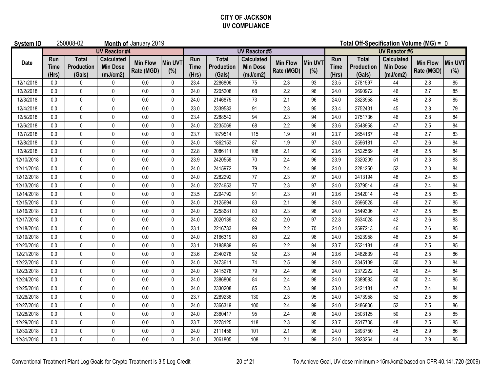#### **CITY OF JACKSON UV COMPLIANCE**

| <b>System ID</b> |                             | 250008-02                            |                                                  | Month of January 2019         |                       |                             |                                             |                                                  |                               | Total Off-Specification Volume (MG) = 0 |                             |                                             |                                                  |                               |                       |
|------------------|-----------------------------|--------------------------------------|--------------------------------------------------|-------------------------------|-----------------------|-----------------------------|---------------------------------------------|--------------------------------------------------|-------------------------------|-----------------------------------------|-----------------------------|---------------------------------------------|--------------------------------------------------|-------------------------------|-----------------------|
|                  | <b>UV Reactor #4</b>        |                                      |                                                  |                               |                       |                             |                                             | <b>UV Reactor #5</b>                             |                               | <b>UV Reactor #6</b>                    |                             |                                             |                                                  |                               |                       |
| Date             | Run<br><b>Time</b><br>(Hrs) | <b>Total</b><br>Production<br>(Gals) | <b>Calculated</b><br><b>Min Dose</b><br>(mJ/cm2) | <b>Min Flow</b><br>Rate (MGD) | <b>Min UVT</b><br>(%) | Run<br><b>Time</b><br>(Hrs) | <b>Total</b><br><b>Production</b><br>(Gals) | <b>Calculated</b><br><b>Min Dose</b><br>(mJ/cm2) | <b>Min Flow</b><br>Rate (MGD) | Min UVT<br>(%)                          | Run<br><b>Time</b><br>(Hrs) | <b>Total</b><br><b>Production</b><br>(Gals) | <b>Calculated</b><br><b>Min Dose</b><br>(mJ/cm2) | <b>Min Flow</b><br>Rate (MGD) | <b>Min UVT</b><br>(%) |
| 12/1/2018        | 0.0                         | 0                                    | 0                                                | 0.0                           | $\mathbf 0$           | 23.4                        | 2286806                                     | 75                                               | 2.3                           | 93                                      | 23.5                        | 2781597                                     | 44                                               | 2.8                           | 85                    |
| 12/2/2018        | 0.0                         | 0                                    | $\Omega$                                         | 0.0                           | 0                     | 24.0                        | 2205208                                     | 68                                               | 2.2                           | 96                                      | 24.0                        | 2690972                                     | 46                                               | 2.7                           | 85                    |
| 12/3/2018        | 0.0                         | 0                                    | 0                                                | $0.0\,$                       | $\pmb{0}$             | 24.0                        | 2146875                                     | 73                                               | 2.1                           | 96                                      | 24.0                        | 2823958                                     | 45                                               | 2.8                           | 85                    |
| 12/4/2018        | 0.0                         | $\pmb{0}$                            | $\mathbf{0}$                                     | 0.0                           | 0                     | 23.0                        | 2339583                                     | 91                                               | 2.3                           | 95                                      | 23.4                        | 2752431                                     | 45                                               | 2.8                           | 79                    |
| 12/5/2018        | 0.0                         | $\mathbf 0$                          | 0                                                | 0.0                           | $\pmb{0}$             | 23.4                        | 2288542                                     | 94                                               | 2.3                           | 94                                      | 24.0                        | 2751736                                     | 46                                               | 2.8                           | 84                    |
| 12/6/2018        | 0.0                         | $\mathbf{0}$                         | $\mathbf{0}$                                     | $0.0\,$                       | $\pmb{0}$             | 24.0                        | 2235069                                     | 68                                               | 2.2                           | 96                                      | 23.6                        | 2548958                                     | 47                                               | 2.5                           | 84                    |
| 12/7/2018        | 0.0                         | $\mathbf 0$                          | 0                                                | 0.0                           | $\pmb{0}$             | 23.7                        | 1879514                                     | 115                                              | 1.9                           | 91                                      | 23.7                        | 2654167                                     | 46                                               | 2.7                           | 83                    |
| 12/8/2018        | 0.0                         | $\pmb{0}$                            | 0                                                | 0.0                           | $\pmb{0}$             | 24.0                        | 1862153                                     | 87                                               | 1.9                           | 97                                      | 24.0                        | 2596181                                     | 47                                               | 2.6                           | 84                    |
| 12/9/2018        | 0.0                         | $\mathbf 0$                          | 0                                                | 0.0                           | $\pmb{0}$             | 22.8                        | 2086111                                     | 108                                              | 2.1                           | 92                                      | 23.6                        | 2522569                                     | 48                                               | 2.5                           | 84                    |
| 12/10/2018       | 0.0                         | $\mathbf 0$                          | 0                                                | 0.0                           | $\pmb{0}$             | 23.9                        | 2420558                                     | 70                                               | 2.4                           | 96                                      | 23.9                        | 2320209                                     | 51                                               | 2.3                           | 83                    |
| 12/11/2018       | 0.0                         | $\pmb{0}$                            | $\mathbf{0}$                                     | $0.0\,$                       | $\pmb{0}$             | 24.0                        | 2415972                                     | 79                                               | 2.4                           | 98                                      | 24.0                        | 2281250                                     | 52                                               | 2.3                           | 84                    |
| 12/12/2018       | 0.0                         | 0                                    | 0                                                | 0.0                           | 0                     | 24.0                        | 2282292                                     | 77                                               | 2.3                           | 97                                      | 24.0                        | 2413194                                     | 48                                               | 2.4                           | 83                    |
| 12/13/2018       | 0.0                         | 0                                    | $\mathbf{0}$                                     | 0.0                           | $\pmb{0}$             | 24.0                        | 2274653                                     | 77                                               | 2.3                           | 97                                      | 24.0                        | 2379514                                     | 49                                               | 2.4                           | 84                    |
| 12/14/2018       | 0.0                         | $\mathbf 0$                          | $\mathbf{0}$                                     | 0.0                           | $\mathbf 0$           | 23.5                        | 2294792                                     | 91                                               | 2.3                           | 91                                      | 23.6                        | 2542014                                     | 45                                               | 2.5                           | 83                    |
| 12/15/2018       | 0.0                         | $\mathbf{0}$                         | 0                                                | 0.0                           | $\mathbf{0}$          | 24.0                        | 2125694                                     | 83                                               | 2.1                           | 98                                      | 24.0                        | 2696528                                     | 46                                               | 2.7                           | 85                    |
| 12/16/2018       | 0.0                         | $\mathbf 0$                          | $\Omega$                                         | 0.0                           | 0                     | 24.0                        | 2258681                                     | 80                                               | 2.3                           | 98                                      | 24.0                        | 2549306                                     | 47                                               | 2.5                           | 85                    |
| 12/17/2018       | 0.0                         | $\mathbf 0$                          | 0                                                | 0.0                           | 0                     | 24.0                        | 2020139                                     | 82                                               | 2.0                           | 97                                      | 22.8                        | 2634028                                     | 42                                               | 2.6                           | 83                    |
| 12/18/2018       | 0.0                         | $\pmb{0}$                            | 0                                                | 0.0                           | $\pmb{0}$             | 23.1                        | 2216783                                     | 99                                               | 2.2                           | 70                                      | 24.0                        | 2597213                                     | 46                                               | 2.6                           | 85                    |
| 12/19/2018       | 0.0                         | $\mathbf 0$                          | 0                                                | 0.0                           | 0                     | 24.0                        | 2166319                                     | 80                                               | 2.2                           | 98                                      | 24.0                        | 2523958                                     | 48                                               | 2.5                           | 84                    |
| 12/20/2018       | 0.0                         | $\pmb{0}$                            | 0                                                | 0.0                           | $\pmb{0}$             | 23.1                        | 2188889                                     | 96                                               | 2.2                           | 94                                      | 23.7                        | 2521181                                     | 48                                               | 2.5                           | 85                    |
| 12/21/2018       | 0.0                         | $\pmb{0}$                            | 0                                                | $0.0\,$                       | $\pmb{0}$             | 23.6                        | 2340278                                     | 92                                               | 2.3                           | 94                                      | 23.6                        | 2482639                                     | 49                                               | 2.5                           | 86                    |
| 12/22/2018       | 0.0                         | $\mathbf 0$                          | 0                                                | 0.0                           | 0                     | 24.0                        | 2473611                                     | $74$                                             | 2.5                           | 98                                      | 24.0                        | 2345139                                     | 50                                               | 2.3                           | 84                    |
| 12/23/2018       | 0.0                         | 0                                    | 0                                                | 0.0                           | $\pmb{0}$             | 24.0                        | 2415278                                     | 79                                               | 2.4                           | 98                                      | 24.0                        | 2372222                                     | 49                                               | 2.4                           | 84                    |
| 12/24/2018       | 0.0                         | $\mathbf{0}$                         | $\mathbf{0}$                                     | $0.0\,$                       | $\mathbf{0}$          | 24.0                        | 2386806                                     | 84                                               | 2.4                           | 98                                      | 24.0                        | 2389583                                     | 50                                               | 2.4                           | 85                    |
| 12/25/2018       | 0.0                         | $\mathbf 0$                          | 0                                                | 0.0                           | 0                     | 24.0                        | 2330208                                     | 85                                               | 2.3                           | 98                                      | 23.0                        | 2421181                                     | 47                                               | 2.4                           | 84                    |
| 12/26/2018       | 0.0                         | $\mathbf 0$                          | 0                                                | 0.0                           | $\pmb{0}$             | 23.7                        | 2289236                                     | 130                                              | 2.3                           | 95                                      | 24.0                        | 2473958                                     | 52                                               | 2.5                           | 86                    |
| 12/27/2018       | 0.0                         | $\mathbf 0$                          | 0                                                | 0.0                           | 0                     | 24.0                        | 2366319                                     | 100                                              | 2.4                           | 99                                      | 24.0                        | 2486806                                     | 52                                               | 2.5                           | 86                    |
| 12/28/2018       | 0.0                         | $\mathbf 0$                          | 0                                                | 0.0                           | $\mathbf 0$           | 24.0                        | 2360417                                     | 95                                               | 2.4                           | 98                                      | 24.0                        | 2503125                                     | 50                                               | 2.5                           | 85                    |
| 12/29/2018       | 0.0                         | $\pmb{0}$                            | $\mathbf{0}$                                     | $0.0\,$                       | $\pmb{0}$             | 23.7                        | 2278125                                     | 118                                              | 2.3                           | 95                                      | 23.7                        | 2517708                                     | 48                                               | 2.5                           | 85                    |
| 12/30/2018       | 0.0                         | $\pmb{0}$                            | 0                                                | 0.0                           | $\pmb{0}$             | 24.0                        | 2111458                                     | 101                                              | 2.1                           | 98                                      | 24.0                        | 2893750                                     | 45                                               | 2.9                           | 86                    |
| 12/31/2018       | 0.0                         | $\mathbf 0$                          | $\mathbf{0}$                                     | 0.0                           | $\mathbf{0}$          | 24.0                        | 2061805                                     | 108                                              | 2.1                           | 99                                      | 24.0                        | 2923264                                     | 44                                               | 2.9                           | 85                    |